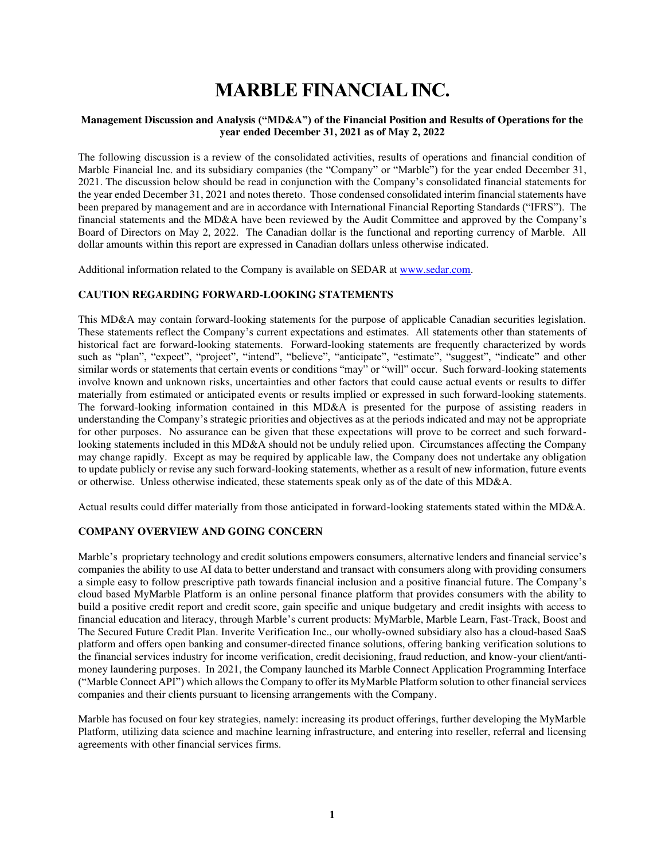# **MARBLE FINANCIAL INC.**

# **Management Discussion and Analysis ("MD&A") of the Financial Position and Results of Operations for the year ended December 31, 2021 as of May 2, 2022**

The following discussion is a review of the consolidated activities, results of operations and financial condition of Marble Financial Inc. and its subsidiary companies (the "Company" or "Marble") for the year ended December 31, 2021. The discussion below should be read in conjunction with the Company's consolidated financial statements for the year ended December 31, 2021 and notes thereto. Those condensed consolidated interim financial statements have been prepared by management and are in accordance with International Financial Reporting Standards ("IFRS"). The financial statements and the MD&A have been reviewed by the Audit Committee and approved by the Company's Board of Directors on May 2, 2022. The Canadian dollar is the functional and reporting currency of Marble. All dollar amounts within this report are expressed in Canadian dollars unless otherwise indicated.

Additional information related to the Company is available on SEDAR at www.sedar.com.

## **CAUTION REGARDING FORWARD-LOOKING STATEMENTS**

This MD&A may contain forward-looking statements for the purpose of applicable Canadian securities legislation. These statements reflect the Company's current expectations and estimates. All statements other than statements of historical fact are forward-looking statements. Forward-looking statements are frequently characterized by words such as "plan", "expect", "project", "intend", "believe", "anticipate", "estimate", "suggest", "indicate" and other similar words or statements that certain events or conditions "may" or "will" occur. Such forward-looking statements involve known and unknown risks, uncertainties and other factors that could cause actual events or results to differ materially from estimated or anticipated events or results implied or expressed in such forward-looking statements. The forward-looking information contained in this MD&A is presented for the purpose of assisting readers in understanding the Company's strategic priorities and objectives as at the periods indicated and may not be appropriate for other purposes. No assurance can be given that these expectations will prove to be correct and such forwardlooking statements included in this MD&A should not be unduly relied upon. Circumstances affecting the Company may change rapidly. Except as may be required by applicable law, the Company does not undertake any obligation to update publicly or revise any such forward-looking statements, whether as a result of new information, future events or otherwise. Unless otherwise indicated, these statements speak only as of the date of this MD&A.

Actual results could differ materially from those anticipated in forward-looking statements stated within the MD&A.

# **COMPANY OVERVIEW AND GOING CONCERN**

Marble's proprietary technology and credit solutions empowers consumers, alternative lenders and financial service's companies the ability to use AI data to better understand and transact with consumers along with providing consumers a simple easy to follow prescriptive path towards financial inclusion and a positive financial future. The Company's cloud based MyMarble Platform is an online personal finance platform that provides consumers with the ability to build a positive credit report and credit score, gain specific and unique budgetary and credit insights with access to financial education and literacy, through Marble's current products: MyMarble, Marble Learn, Fast-Track, Boost and The Secured Future Credit Plan. Inverite Verification Inc., our wholly-owned subsidiary also has a cloud-based SaaS platform and offers open banking and consumer-directed finance solutions, offering banking verification solutions to the financial services industry for income verification, credit decisioning, fraud reduction, and know-your client/antimoney laundering purposes. In 2021, the Company launched its Marble Connect Application Programming Interface ("Marble Connect API") which allows the Company to offer its MyMarble Platform solution to other financial services companies and their clients pursuant to licensing arrangements with the Company.

Marble has focused on four key strategies, namely: increasing its product offerings, further developing the MyMarble Platform, utilizing data science and machine learning infrastructure, and entering into reseller, referral and licensing agreements with other financial services firms.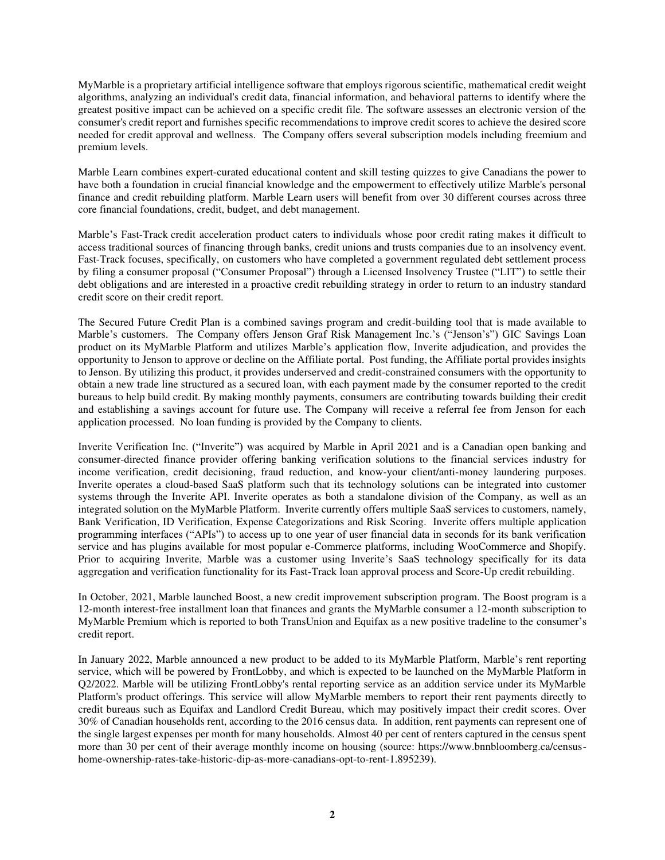MyMarble is a proprietary artificial intelligence software that employs rigorous scientific, mathematical credit weight algorithms, analyzing an individual's credit data, financial information, and behavioral patterns to identify where the greatest positive impact can be achieved on a specific credit file. The software assesses an electronic version of the consumer's credit report and furnishes specific recommendations to improve credit scores to achieve the desired score needed for credit approval and wellness. The Company offers several subscription models including freemium and premium levels.

Marble Learn combines expert-curated educational content and skill testing quizzes to give Canadians the power to have both a foundation in crucial financial knowledge and the empowerment to effectively utilize Marble's personal finance and credit rebuilding platform. Marble Learn users will benefit from over 30 different courses across three core financial foundations, credit, budget, and debt management.

Marble's Fast-Track credit acceleration product caters to individuals whose poor credit rating makes it difficult to access traditional sources of financing through banks, credit unions and trusts companies due to an insolvency event. Fast-Track focuses, specifically, on customers who have completed a government regulated debt settlement process by filing a consumer proposal ("Consumer Proposal") through a Licensed Insolvency Trustee ("LIT") to settle their debt obligations and are interested in a proactive credit rebuilding strategy in order to return to an industry standard credit score on their credit report. 

The Secured Future Credit Plan is a combined savings program and credit-building tool that is made available to Marble's customers. The Company offers Jenson Graf Risk Management Inc.'s ("Jenson's") GIC Savings Loan product on its MyMarble Platform and utilizes Marble's application flow, Inverite adjudication, and provides the opportunity to Jenson to approve or decline on the Affiliate portal. Post funding, the Affiliate portal provides insights to Jenson. By utilizing this product, it provides underserved and credit-constrained consumers with the opportunity to obtain a new trade line structured as a secured loan, with each payment made by the consumer reported to the credit bureaus to help build credit. By making monthly payments, consumers are contributing towards building their credit and establishing a savings account for future use. The Company will receive a referral fee from Jenson for each application processed. No loan funding is provided by the Company to clients.

Inverite Verification Inc. ("Inverite") was acquired by Marble in April 2021 and is a Canadian open banking and consumer-directed finance provider offering banking verification solutions to the financial services industry for income verification, credit decisioning, fraud reduction, and know-your client/anti-money laundering purposes. Inverite operates a cloud-based SaaS platform such that its technology solutions can be integrated into customer systems through the Inverite API. Inverite operates as both a standalone division of the Company, as well as an integrated solution on the MyMarble Platform. Inverite currently offers multiple SaaS services to customers, namely, Bank Verification, ID Verification, Expense Categorizations and Risk Scoring. Inverite offers multiple application programming interfaces ("APIs") to access up to one year of user financial data in seconds for its bank verification service and has plugins available for most popular e-Commerce platforms, including WooCommerce and Shopify. Prior to acquiring Inverite, Marble was a customer using Inverite's SaaS technology specifically for its data aggregation and verification functionality for its Fast-Track loan approval process and Score-Up credit rebuilding.

In October, 2021, Marble launched Boost, a new credit improvement subscription program. The Boost program is a 12-month interest-free installment loan that finances and grants the MyMarble consumer a 12-month subscription to MyMarble Premium which is reported to both TransUnion and Equifax as a new positive tradeline to the consumer's credit report.

In January 2022, Marble announced a new product to be added to its MyMarble Platform, Marble's rent reporting service, which will be powered by FrontLobby, and which is expected to be launched on the MyMarble Platform in Q2/2022. Marble will be utilizing FrontLobby's rental reporting service as an addition service under its MyMarble Platform's product offerings. This service will allow MyMarble members to report their rent payments directly to credit bureaus such as Equifax and Landlord Credit Bureau, which may positively impact their credit scores. Over 30% of Canadian households rent, according to the 2016 census data. In addition, rent payments can represent one of the single largest expenses per month for many households. Almost 40 per cent of renters captured in the census spent more than 30 per cent of their average monthly income on housing (source: https://www.bnnbloomberg.ca/censushome-ownership-rates-take-historic-dip-as-more-canadians-opt-to-rent-1.895239).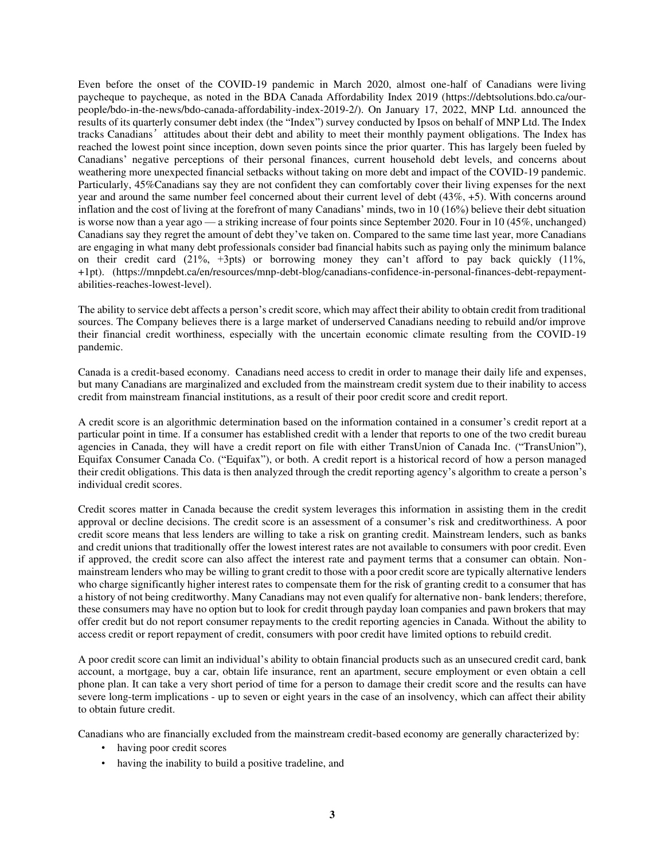Even before the onset of the COVID-19 pandemic in March 2020, almost one-half of Canadians were living paycheque to paycheque, as noted in the BDA Canada Affordability Index 2019 [\(https://debtsolutions.bdo.ca/our](https://debtsolutions.bdo.ca/our-people/bdo-in-the-news/bdo-canada-affordability-index-2019-2/)[people/bdo-in-the-news/bdo-canada-affordability-index-2019-2/\)](https://debtsolutions.bdo.ca/our-people/bdo-in-the-news/bdo-canada-affordability-index-2019-2/). On January 17, 2022, MNP Ltd. announced the results of its quarterly consumer debt index (the "Index") survey conducted by Ipsos on behalf of MNP Ltd. The Index tracks Canadians'attitudes about their debt and ability to meet their monthly payment obligations. The Index has reached the lowest point since inception, down seven points since the prior quarter. This has largely been fueled by Canadians' negative perceptions of their personal finances, current household debt levels, and concerns about weathering more unexpected financial setbacks without taking on more debt and impact of the COVID-19 pandemic. Particularly, 45%Canadians say they are not confident they can comfortably cover their living expenses for the next year and around the same number feel concerned about their current level of debt (43%, +5). With concerns around inflation and the cost of living at the forefront of many Canadians' minds, two in 10 (16%) believe their debt situation is worse now than a year ago — a striking increase of four points since September 2020. Four in 10 (45%, unchanged) Canadians say they regret the amount of debt they've taken on. Compared to the same time last year, more Canadians are engaging in what many debt professionals consider bad financial habits such as paying only the minimum balance on their credit card  $(21\%, +3pts)$  or borrowing money they can't afford to pay back quickly  $(11\%, +3pt)$ +1pt). (https://mnpdebt.ca/en/resources/mnp-debt-blog/canadians-confidence-in-personal-finances-debt-repaymentabilities-reaches-lowest-level).

The ability to service debt affects a person's credit score, which may affect their ability to obtain credit from traditional sources. The Company believes there is a large market of underserved Canadians needing to rebuild and/or improve their financial credit worthiness, especially with the uncertain economic climate resulting from the COVID-19 pandemic.

Canada is a credit-based economy. Canadians need access to credit in order to manage their daily life and expenses, but many Canadians are marginalized and excluded from the mainstream credit system due to their inability to access credit from mainstream financial institutions, as a result of their poor credit score and credit report.

A credit score is an algorithmic determination based on the information contained in a consumer's credit report at a particular point in time. If a consumer has established credit with a lender that reports to one of the two credit bureau agencies in Canada, they will have a credit report on file with either TransUnion of Canada Inc. ("TransUnion"), Equifax Consumer Canada Co. ("Equifax"), or both. A credit report is a historical record of how a person managed their credit obligations. This data is then analyzed through the credit reporting agency's algorithm to create a person's individual credit scores.

Credit scores matter in Canada because the credit system leverages this information in assisting them in the credit approval or decline decisions. The credit score is an assessment of a consumer's risk and creditworthiness. A poor credit score means that less lenders are willing to take a risk on granting credit. Mainstream lenders, such as banks and credit unions that traditionally offer the lowest interest rates are not available to consumers with poor credit. Even if approved, the credit score can also affect the interest rate and payment terms that a consumer can obtain. Nonmainstream lenders who may be willing to grant credit to those with a poor credit score are typically alternative lenders who charge significantly higher interest rates to compensate them for the risk of granting credit to a consumer that has a history of not being creditworthy. Many Canadians may not even qualify for alternative non- bank lenders; therefore, these consumers may have no option but to look for credit through payday loan companies and pawn brokers that may offer credit but do not report consumer repayments to the credit reporting agencies in Canada. Without the ability to access credit or report repayment of credit, consumers with poor credit have limited options to rebuild credit.

A poor credit score can limit an individual's ability to obtain financial products such as an unsecured credit card, bank account, a mortgage, buy a car, obtain life insurance, rent an apartment, secure employment or even obtain a cell phone plan. It can take a very short period of time for a person to damage their credit score and the results can have severe long-term implications - up to seven or eight years in the case of an insolvency, which can affect their ability to obtain future credit.

Canadians who are financially excluded from the mainstream credit-based economy are generally characterized by:

- having poor credit scores
- having the inability to build a positive tradeline, and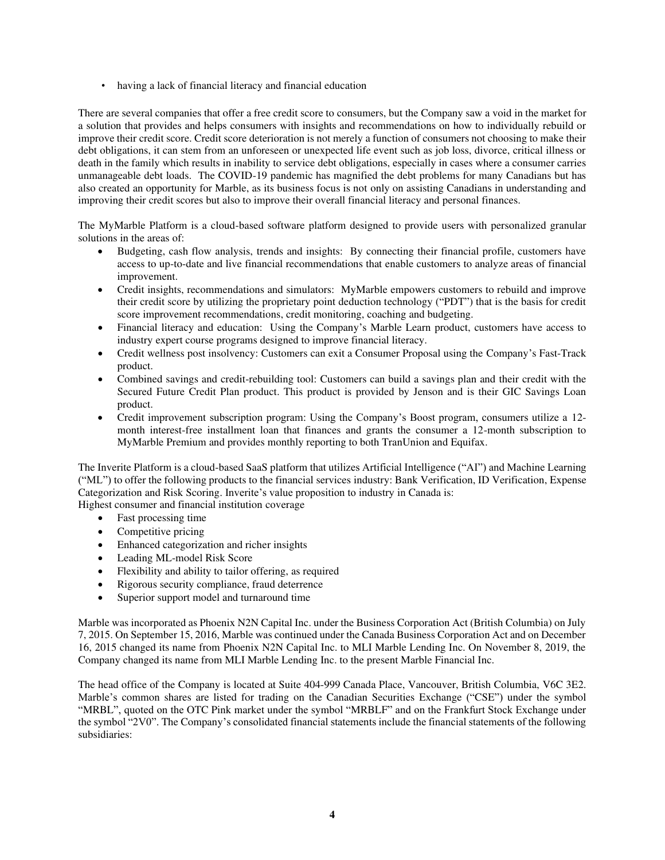• having a lack of financial literacy and financial education

There are several companies that offer a free credit score to consumers, but the Company saw a void in the market for a solution that provides and helps consumers with insights and recommendations on how to individually rebuild or improve their credit score. Credit score deterioration is not merely a function of consumers not choosing to make their debt obligations, it can stem from an unforeseen or unexpected life event such as job loss, divorce, critical illness or death in the family which results in inability to service debt obligations, especially in cases where a consumer carries unmanageable debt loads. The COVID-19 pandemic has magnified the debt problems for many Canadians but has also created an opportunity for Marble, as its business focus is not only on assisting Canadians in understanding and improving their credit scores but also to improve their overall financial literacy and personal finances.

The MyMarble Platform is a cloud-based software platform designed to provide users with personalized granular solutions in the areas of:

- Budgeting, cash flow analysis, trends and insights: By connecting their financial profile, customers have access to up-to-date and live financial recommendations that enable customers to analyze areas of financial improvement.
- Credit insights, recommendations and simulators: MyMarble empowers customers to rebuild and improve their credit score by utilizing the proprietary point deduction technology ("PDT") that is the basis for credit score improvement recommendations, credit monitoring, coaching and budgeting.
- Financial literacy and education: Using the Company's Marble Learn product, customers have access to industry expert course programs designed to improve financial literacy.
- Credit wellness post insolvency: Customers can exit a Consumer Proposal using the Company's Fast-Track product.
- Combined savings and credit-rebuilding tool: Customers can build a savings plan and their credit with the Secured Future Credit Plan product. This product is provided by Jenson and is their GIC Savings Loan product.
- Credit improvement subscription program: Using the Company's Boost program, consumers utilize a 12 month interest-free installment loan that finances and grants the consumer a 12-month subscription to MyMarble Premium and provides monthly reporting to both TranUnion and Equifax.

The Inverite Platform is a cloud-based SaaS platform that utilizes Artificial Intelligence ("AI") and Machine Learning ("ML") to offer the following products to the financial services industry: Bank Verification, ID Verification, Expense Categorization and Risk Scoring. Inverite's value proposition to industry in Canada is:

Highest consumer and financial institution coverage

- Fast processing time
- Competitive pricing
- Enhanced categorization and richer insights
- Leading ML-model Risk Score
- Flexibility and ability to tailor offering, as required
- Rigorous security compliance, fraud deterrence
- Superior support model and turnaround time

Marble was incorporated as Phoenix N2N Capital Inc. under the Business Corporation Act (British Columbia) on July 7, 2015. On September 15, 2016, Marble was continued under the Canada Business Corporation Act and on December 16, 2015 changed its name from Phoenix N2N Capital Inc. to MLI Marble Lending Inc. On November 8, 2019, the Company changed its name from MLI Marble Lending Inc. to the present Marble Financial Inc.

The head office of the Company is located at Suite 404-999 Canada Place, Vancouver, British Columbia, V6C 3E2. Marble's common shares are listed for trading on the Canadian Securities Exchange ("CSE") under the symbol "MRBL", quoted on the OTC Pink market under the symbol "MRBLF" and on the Frankfurt Stock Exchange under the symbol "2V0". The Company's consolidated financial statements include the financial statements of the following subsidiaries: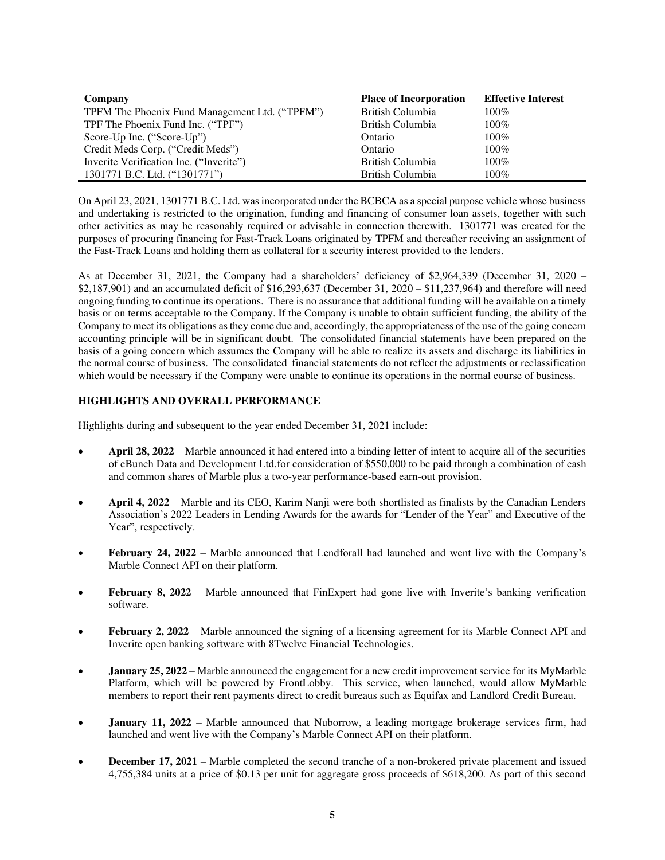| Company                                        | <b>Place of Incorporation</b> | <b>Effective Interest</b> |
|------------------------------------------------|-------------------------------|---------------------------|
| TPFM The Phoenix Fund Management Ltd. ("TPFM") | British Columbia              | $100\%$                   |
| TPF The Phoenix Fund Inc. ("TPF")              | British Columbia              | $100\%$                   |
| Score-Up Inc. ("Score-Up")                     | Ontario                       | $100\%$                   |
| Credit Meds Corp. ("Credit Meds")              | Ontario                       | $100\%$                   |
| Inverite Verification Inc. ("Inverite")        | British Columbia              | $100\%$                   |
| 1301771 B.C. Ltd. ("1301771")                  | British Columbia              | $100\%$                   |

On April 23, 2021, 1301771 B.C. Ltd. was incorporated under the BCBCA as a special purpose vehicle whose business and undertaking is restricted to the origination, funding and financing of consumer loan assets, together with such other activities as may be reasonably required or advisable in connection therewith. 1301771 was created for the purposes of procuring financing for Fast-Track Loans originated by TPFM and thereafter receiving an assignment of the Fast-Track Loans and holding them as collateral for a security interest provided to the lenders.

As at December 31, 2021, the Company had a shareholders' deficiency of \$2,964,339 (December 31, 2020 – \$2,187,901) and an accumulated deficit of \$16,293,637 (December 31, 2020 – \$11,237,964) and therefore will need ongoing funding to continue its operations. There is no assurance that additional funding will be available on a timely basis or on terms acceptable to the Company. If the Company is unable to obtain sufficient funding, the ability of the Company to meet its obligations as they come due and, accordingly, the appropriateness of the use of the going concern accounting principle will be in significant doubt. The consolidated financial statements have been prepared on the basis of a going concern which assumes the Company will be able to realize its assets and discharge its liabilities in the normal course of business. The consolidated financial statements do not reflect the adjustments or reclassification which would be necessary if the Company were unable to continue its operations in the normal course of business.

# **HIGHLIGHTS AND OVERALL PERFORMANCE**

Highlights during and subsequent to the year ended December 31, 2021 include:

- **April 28, 2022** Marble announced it had entered into a binding letter of intent to acquire all of the securities of eBunch Data and Development Ltd.for consideration of \$550,000 to be paid through a combination of cash and common shares of Marble plus a two-year performance-based earn-out provision.
- **April 4, 2022** Marble and its CEO, Karim Nanji were both shortlisted as finalists by the Canadian Lenders Association's 2022 Leaders in Lending Awards for the awards for "Lender of the Year" and Executive of the Year", respectively.
- **February 24, 2022** Marble announced that Lendforall had launched and went live with the Company's Marble Connect API on their platform.
- **February 8, 2022** Marble announced that FinExpert had gone live with Inverite's banking verification software.
- **February 2, 2022** Marble announced the signing of a licensing agreement for its Marble Connect API and Inverite open banking software with 8Twelve Financial Technologies.
- **January 25, 2022** Marble announced the engagement for a new credit improvement service for its MyMarble Platform, which will be powered by FrontLobby. This service, when launched, would allow MyMarble members to report their rent payments direct to credit bureaus such as Equifax and Landlord Credit Bureau.
- **January 11, 2022** Marble announced that Nuborrow, a leading mortgage brokerage services firm, had launched and went live with the Company's Marble Connect API on their platform.
- **December 17, 2021** Marble completed the second tranche of a non-brokered private placement and issued 4,755,384 units at a price of \$0.13 per unit for aggregate gross proceeds of \$618,200. As part of this second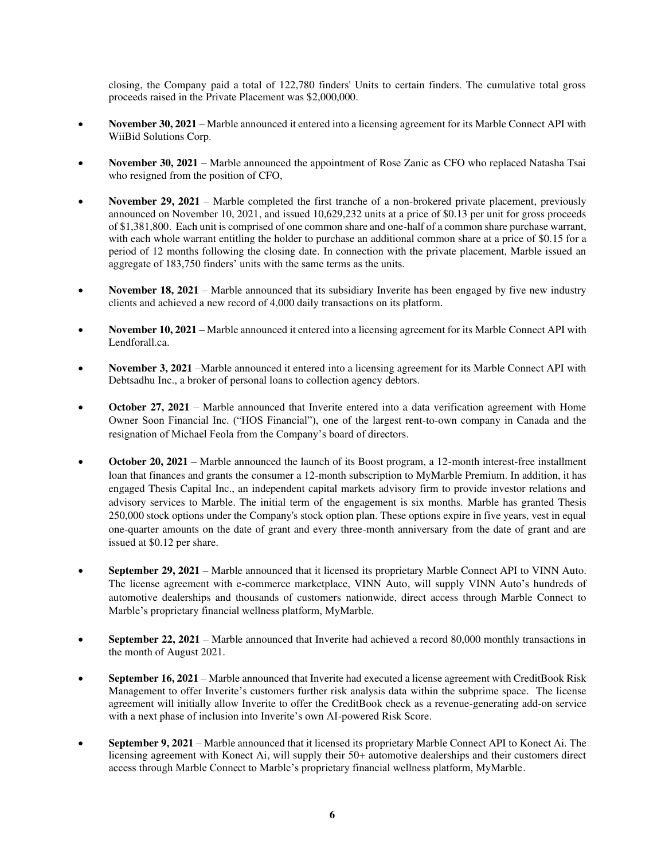closing, the Company paid a total of 122,780 finders' Units to certain finders. The cumulative total gross proceeds raised in the Private Placement was \$2,000,000.

- **November 30, 2021** Marble announced it entered into a licensing agreement for its Marble Connect API with WiiBid Solutions Corp.
- **November 30, 2021** Marble announced the appointment of Rose Zanic as CFO who replaced Natasha Tsai who resigned from the position of CFO,
- **November 29, 2021** Marble completed the first tranche of a non-brokered private placement, previously announced on November 10, 2021, and issued 10,629,232 units at a price of \$0.13 per unit for gross proceeds of \$1,381,800. Each unit is comprised of one common share and one-half of a common share purchase warrant, with each whole warrant entitling the holder to purchase an additional common share at a price of \$0.15 for a period of 12 months following the closing date. In connection with the private placement, Marble issued an aggregate of 183,750 finders' units with the same terms as the units.
- **November 18, 2021** Marble announced that its subsidiary Inverite has been engaged by five new industry clients and achieved a new record of 4,000 daily transactions on its platform.
- **November 10, 2021** Marble announced it entered into a licensing agreement for its Marble Connect API with Lendforall.ca.
- **November 3, 2021** –Marble announced it entered into a licensing agreement for its Marble Connect API with Debtsadhu Inc., a broker of personal loans to collection agency debtors.
- **October 27, 2021** Marble announced that Inverite entered into a data verification agreement with Home Owner Soon Financial Inc. ("HOS Financial"), one of the largest rent-to-own company in Canada and the resignation of Michael Feola from the Company's board of directors.
- **October 20, 2021** Marble announced the launch of its Boost program, a 12-month interest-free installment loan that finances and grants the consumer a 12-month subscription to MyMarble Premium. In addition, it has engaged Thesis Capital Inc., an independent capital markets advisory firm to provide investor relations and advisory services to Marble. The initial term of the engagement is six months. Marble has granted Thesis 250,000 stock options under the Company's stock option plan. These options expire in five years, vest in equal one-quarter amounts on the date of grant and every three-month anniversary from the date of grant and are issued at \$0.12 per share.
- **September 29, 2021** Marble announced that it licensed its proprietary Marble Connect API to VINN Auto. The license agreement with e-commerce marketplace, VINN Auto, will supply VINN Auto's hundreds of automotive dealerships and thousands of customers nationwide, direct access through Marble Connect to Marble's proprietary financial wellness platform, MyMarble.
- **September 22, 2021** Marble announced that Inverite had achieved a record 80,000 monthly transactions in the month of August 2021.
- **September 16, 2021** Marble announced that Inverite had executed a license agreement with CreditBook Risk Management to offer Inverite's customers further risk analysis data within the subprime space. The license agreement will initially allow Inverite to offer the CreditBook check as a revenue-generating add-on service with a next phase of inclusion into Inverite's own AI-powered Risk Score.
- **September 9, 2021** Marble announced that it licensed its proprietary Marble Connect API to Konect Ai. The licensing agreement with Konect Ai, will supply their 50+ automotive dealerships and their customers direct access through Marble Connect to Marble's proprietary financial wellness platform, MyMarble.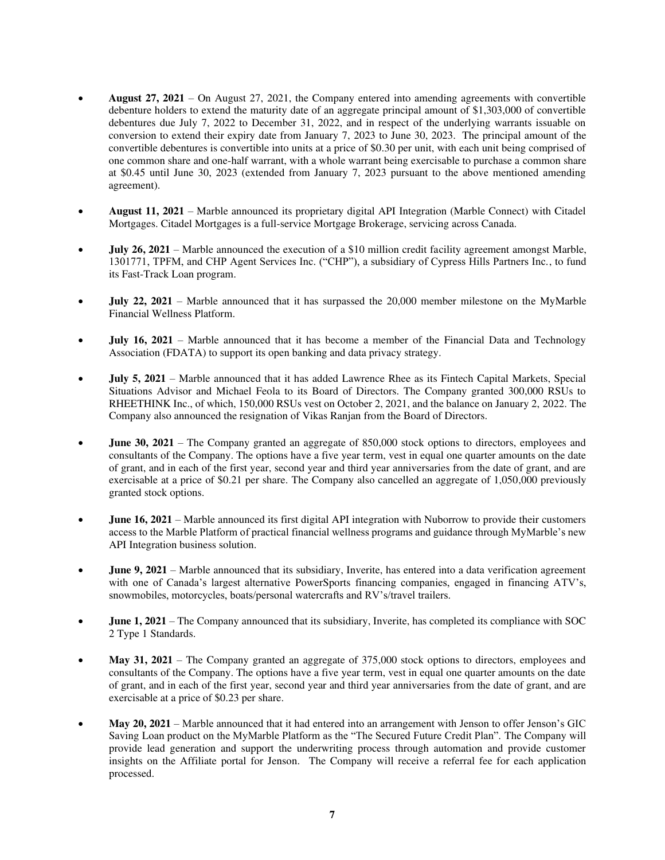- **August 27, 2021**  On August 27, 2021, the Company entered into amending agreements with convertible debenture holders to extend the maturity date of an aggregate principal amount of \$1,303,000 of convertible debentures due July 7, 2022 to December 31, 2022, and in respect of the underlying warrants issuable on conversion to extend their expiry date from January 7, 2023 to June 30, 2023. The principal amount of the convertible debentures is convertible into units at a price of \$0.30 per unit, with each unit being comprised of one common share and one-half warrant, with a whole warrant being exercisable to purchase a common share at \$0.45 until June 30, 2023 (extended from January 7, 2023 pursuant to the above mentioned amending agreement).
- **August 11, 2021** Marble announced its proprietary digital API Integration (Marble Connect) with Citadel Mortgages. Citadel Mortgages is a full-service Mortgage Brokerage, servicing across Canada.
- **July 26, 2021** Marble announced the execution of a \$10 million credit facility agreement amongst Marble, 1301771, TPFM, and CHP Agent Services Inc. ("CHP"), a subsidiary of Cypress Hills Partners Inc., to fund its Fast-Track Loan program.
- **July 22, 2021** Marble announced that it has surpassed the 20,000 member milestone on the MyMarble Financial Wellness Platform.
- **July 16, 2021** Marble announced that it has become a member of the Financial Data and Technology Association (FDATA) to support its open banking and data privacy strategy.
- **July 5, 2021** Marble announced that it has added Lawrence Rhee as its Fintech Capital Markets, Special Situations Advisor and Michael Feola to its Board of Directors. The Company granted 300,000 RSUs to RHEETHINK Inc., of which, 150,000 RSUs vest on October 2, 2021, and the balance on January 2, 2022. The Company also announced the resignation of Vikas Ranjan from the Board of Directors.
- **June 30, 2021** The Company granted an aggregate of 850,000 stock options to directors, employees and consultants of the Company. The options have a five year term, vest in equal one quarter amounts on the date of grant, and in each of the first year, second year and third year anniversaries from the date of grant, and are exercisable at a price of \$0.21 per share. The Company also cancelled an aggregate of 1,050,000 previously granted stock options.
- **June 16, 2021** Marble announced its first digital API integration with Nuborrow to provide their customers access to the Marble Platform of practical financial wellness programs and guidance through MyMarble's new API Integration business solution.
- **June 9, 2021** Marble announced that its subsidiary, Inverite, has entered into a data verification agreement with one of Canada's largest alternative PowerSports financing companies, engaged in financing ATV's, snowmobiles, motorcycles, boats/personal watercrafts and RV's/travel trailers.
- **June 1, 2021** The Company announced that its subsidiary, Inverite, has completed its compliance with SOC 2 Type 1 Standards.
- **May 31, 2021** The Company granted an aggregate of 375,000 stock options to directors, employees and consultants of the Company. The options have a five year term, vest in equal one quarter amounts on the date of grant, and in each of the first year, second year and third year anniversaries from the date of grant, and are exercisable at a price of \$0.23 per share.
- **May 20, 2021** Marble announced that it had entered into an arrangement with Jenson to offer Jenson's GIC Saving Loan product on the MyMarble Platform as the "The Secured Future Credit Plan". The Company will provide lead generation and support the underwriting process through automation and provide customer insights on the Affiliate portal for Jenson. The Company will receive a referral fee for each application processed.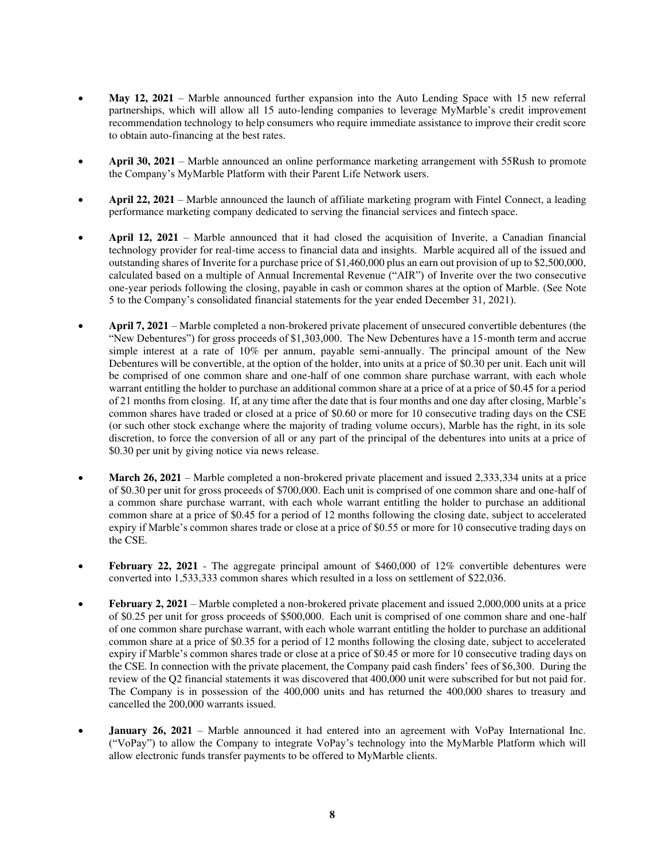- **May 12, 2021** Marble announced further expansion into the Auto Lending Space with 15 new referral partnerships, which will allow all 15 auto-lending companies to leverage MyMarble's credit improvement recommendation technology to help consumers who require immediate assistance to improve their credit score to obtain auto-financing at the best rates.
- **April 30, 2021** Marble announced an online performance marketing arrangement with 55Rush to promote the Company's MyMarble Platform with their Parent Life Network users.
- **April 22, 2021** Marble announced the launch of affiliate marketing program with Fintel Connect, a leading performance marketing company dedicated to serving the financial services and fintech space.
- **April 12, 2021** Marble announced that it had closed the acquisition of Inverite, a Canadian financial technology provider for real-time access to financial data and insights. Marble acquired all of the issued and outstanding shares of Inverite for a purchase price of \$1,460,000 plus an earn out provision of up to \$2,500,000, calculated based on a multiple of Annual Incremental Revenue ("AIR") of Inverite over the two consecutive one-year periods following the closing, payable in cash or common shares at the option of Marble. (See Note 5 to the Company's consolidated financial statements for the year ended December 31, 2021).
- **April 7, 2021** Marble completed a non-brokered private placement of unsecured convertible debentures (the "New Debentures") for gross proceeds of \$1,303,000. The New Debentures have a 15-month term and accrue simple interest at a rate of 10% per annum, payable semi-annually. The principal amount of the New Debentures will be convertible, at the option of the holder, into units at a price of \$0.30 per unit. Each unit will be comprised of one common share and one-half of one common share purchase warrant, with each whole warrant entitling the holder to purchase an additional common share at a price of at a price of \$0.45 for a period of 21 months from closing. If, at any time after the date that is four months and one day after closing, Marble's common shares have traded or closed at a price of \$0.60 or more for 10 consecutive trading days on the CSE (or such other stock exchange where the majority of trading volume occurs), Marble has the right, in its sole discretion, to force the conversion of all or any part of the principal of the debentures into units at a price of \$0.30 per unit by giving notice via news release.
- **March 26, 2021** Marble completed a non-brokered private placement and issued 2,333,334 units at a price of \$0.30 per unit for gross proceeds of \$700,000. Each unit is comprised of one common share and one-half of a common share purchase warrant, with each whole warrant entitling the holder to purchase an additional common share at a price of \$0.45 for a period of 12 months following the closing date, subject to accelerated expiry if Marble's common shares trade or close at a price of \$0.55 or more for 10 consecutive trading days on the CSE.
- **February 22, 2021** The aggregate principal amount of \$460,000 of 12% convertible debentures were converted into 1,533,333 common shares which resulted in a loss on settlement of \$22,036.
- **February 2, 2021** Marble completed a non-brokered private placement and issued 2,000,000 units at a price of \$0.25 per unit for gross proceeds of \$500,000. Each unit is comprised of one common share and one-half of one common share purchase warrant, with each whole warrant entitling the holder to purchase an additional common share at a price of \$0.35 for a period of 12 months following the closing date, subject to accelerated expiry if Marble's common shares trade or close at a price of \$0.45 or more for 10 consecutive trading days on the CSE. In connection with the private placement, the Company paid cash finders' fees of \$6,300. During the review of the Q2 financial statements it was discovered that 400,000 unit were subscribed for but not paid for. The Company is in possession of the 400,000 units and has returned the 400,000 shares to treasury and cancelled the 200,000 warrants issued.
- **January 26, 2021** Marble announced it had entered into an agreement with VoPay International Inc. ("VoPay") to allow the Company to integrate VoPay's technology into the MyMarble Platform which will allow electronic funds transfer payments to be offered to MyMarble clients.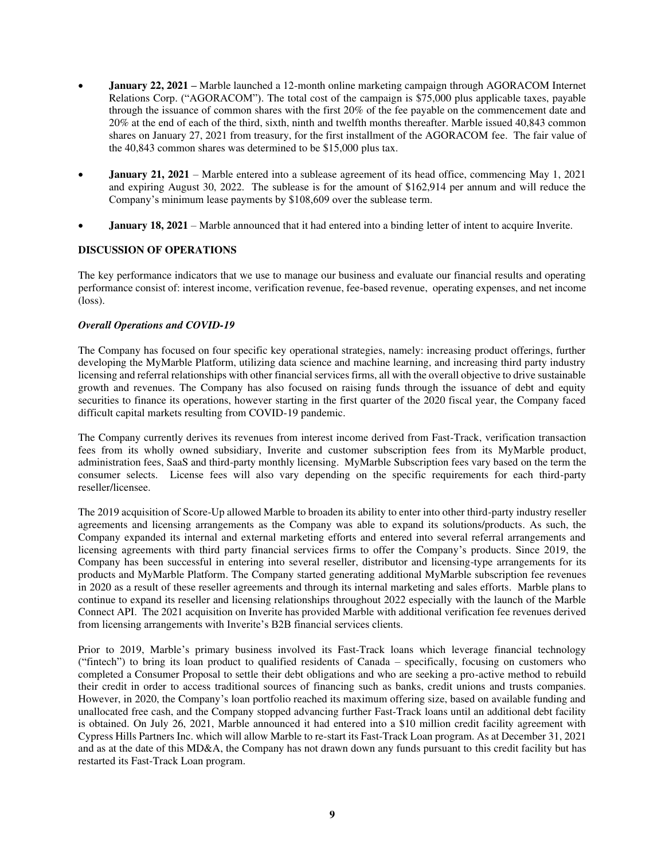- **January 22, 2021 –** Marble launched a 12-month online marketing campaign through AGORACOM Internet Relations Corp. ("AGORACOM"). The total cost of the campaign is \$75,000 plus applicable taxes, payable through the issuance of common shares with the first 20% of the fee payable on the commencement date and 20% at the end of each of the third, sixth, ninth and twelfth months thereafter. Marble issued 40,843 common shares on January 27, 2021 from treasury, for the first installment of the AGORACOM fee. The fair value of the 40,843 common shares was determined to be \$15,000 plus tax.
- **January 21, 2021** Marble entered into a sublease agreement of its head office, commencing May 1, 2021 and expiring August 30, 2022. The sublease is for the amount of \$162,914 per annum and will reduce the Company's minimum lease payments by \$108,609 over the sublease term.
- **January 18, 2021** Marble announced that it had entered into a binding letter of intent to acquire Inverite.

# **DISCUSSION OF OPERATIONS**

The key performance indicators that we use to manage our business and evaluate our financial results and operating performance consist of: interest income, verification revenue, fee-based revenue, operating expenses, and net income (loss).

## *Overall Operations and COVID-19*

The Company has focused on four specific key operational strategies, namely: increasing product offerings, further developing the MyMarble Platform, utilizing data science and machine learning, and increasing third party industry licensing and referral relationships with other financial services firms, all with the overall objective to drive sustainable growth and revenues. The Company has also focused on raising funds through the issuance of debt and equity securities to finance its operations, however starting in the first quarter of the 2020 fiscal year, the Company faced difficult capital markets resulting from COVID-19 pandemic.

The Company currently derives its revenues from interest income derived from Fast-Track, verification transaction fees from its wholly owned subsidiary, Inverite and customer subscription fees from its MyMarble product, administration fees, SaaS and third-party monthly licensing. MyMarble Subscription fees vary based on the term the consumer selects. License fees will also vary depending on the specific requirements for each third-party reseller/licensee.

The 2019 acquisition of Score-Up allowed Marble to broaden its ability to enter into other third-party industry reseller agreements and licensing arrangements as the Company was able to expand its solutions/products. As such, the Company expanded its internal and external marketing efforts and entered into several referral arrangements and licensing agreements with third party financial services firms to offer the Company's products. Since 2019, the Company has been successful in entering into several reseller, distributor and licensing-type arrangements for its products and MyMarble Platform. The Company started generating additional MyMarble subscription fee revenues in 2020 as a result of these reseller agreements and through its internal marketing and sales efforts. Marble plans to continue to expand its reseller and licensing relationships throughout 2022 especially with the launch of the Marble Connect API. The 2021 acquisition on Inverite has provided Marble with additional verification fee revenues derived from licensing arrangements with Inverite's B2B financial services clients.

Prior to 2019, Marble's primary business involved its Fast-Track loans which leverage financial technology ("fintech") to bring its loan product to qualified residents of Canada – specifically, focusing on customers who completed a Consumer Proposal to settle their debt obligations and who are seeking a pro-active method to rebuild their credit in order to access traditional sources of financing such as banks, credit unions and trusts companies. However, in 2020, the Company's loan portfolio reached its maximum offering size, based on available funding and unallocated free cash, and the Company stopped advancing further Fast-Track loans until an additional debt facility is obtained. On July 26, 2021, Marble announced it had entered into a \$10 million credit facility agreement with Cypress Hills Partners Inc. which will allow Marble to re-start its Fast-Track Loan program. As at December 31, 2021 and as at the date of this MD&A, the Company has not drawn down any funds pursuant to this credit facility but has restarted its Fast-Track Loan program.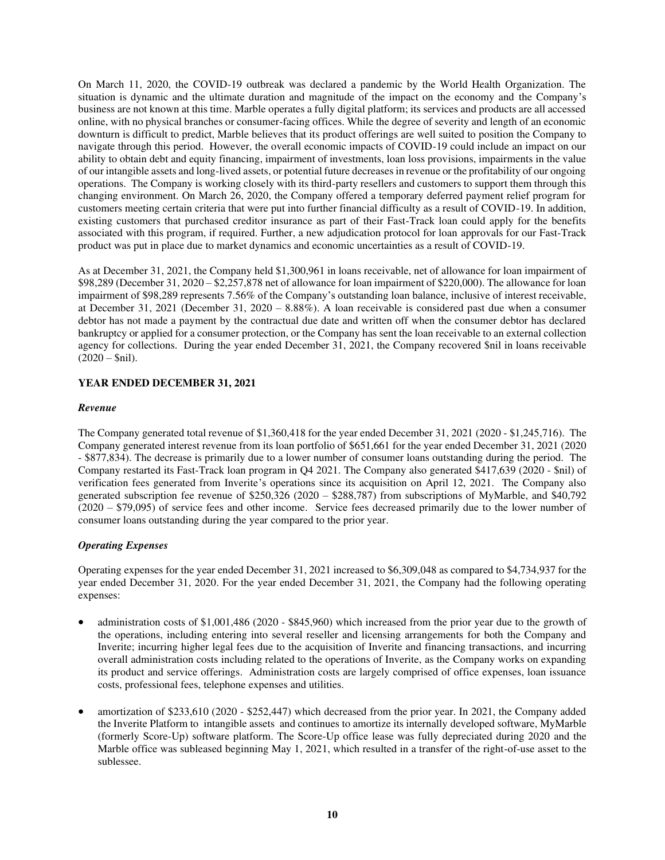On March 11, 2020, the COVID-19 outbreak was declared a pandemic by the World Health Organization. The situation is dynamic and the ultimate duration and magnitude of the impact on the economy and the Company's business are not known at this time. Marble operates a fully digital platform; its services and products are all accessed online, with no physical branches or consumer-facing offices. While the degree of severity and length of an economic downturn is difficult to predict, Marble believes that its product offerings are well suited to position the Company to navigate through this period. However, the overall economic impacts of COVID-19 could include an impact on our ability to obtain debt and equity financing, impairment of investments, loan loss provisions, impairments in the value of our intangible assets and long-lived assets, or potential future decreases in revenue or the profitability of our ongoing operations. The Company is working closely with its third-party resellers and customers to support them through this changing environment. On March 26, 2020, the Company offered a temporary deferred payment relief program for customers meeting certain criteria that were put into further financial difficulty as a result of COVID-19. In addition, existing customers that purchased creditor insurance as part of their Fast-Track loan could apply for the benefits associated with this program, if required. Further, a new adjudication protocol for loan approvals for our Fast-Track product was put in place due to market dynamics and economic uncertainties as a result of COVID-19.

As at December 31, 2021, the Company held \$1,300,961 in loans receivable, net of allowance for loan impairment of \$98,289 (December 31, 2020 – \$2,257,878 net of allowance for loan impairment of \$220,000). The allowance for loan impairment of \$98,289 represents 7.56% of the Company's outstanding loan balance, inclusive of interest receivable, at December 31, 2021 (December 31, 2020 – 8.88%). A loan receivable is considered past due when a consumer debtor has not made a payment by the contractual due date and written off when the consumer debtor has declared bankruptcy or applied for a consumer protection, or the Company has sent the loan receivable to an external collection agency for collections. During the year ended December 31, 2021, the Company recovered \$nil in loans receivable  $(2020 - $nil).$ 

# **YEAR ENDED DECEMBER 31, 2021**

## *Revenue*

The Company generated total revenue of \$1,360,418 for the year ended December 31, 2021 (2020 - \$1,245,716). The Company generated interest revenue from its loan portfolio of \$651,661 for the year ended December 31, 2021 (2020 - \$877,834). The decrease is primarily due to a lower number of consumer loans outstanding during the period. The Company restarted its Fast-Track loan program in Q4 2021. The Company also generated \$417,639 (2020 - \$nil) of verification fees generated from Inverite's operations since its acquisition on April 12, 2021. The Company also generated subscription fee revenue of \$250,326 (2020 – \$288,787) from subscriptions of MyMarble, and \$40,792 (2020 – \$79,095) of service fees and other income. Service fees decreased primarily due to the lower number of consumer loans outstanding during the year compared to the prior year.

# *Operating Expenses*

Operating expenses for the year ended December 31, 2021 increased to \$6,309,048 as compared to \$4,734,937 for the year ended December 31, 2020. For the year ended December 31, 2021, the Company had the following operating expenses:

- administration costs of \$1,001,486 (2020 \$845,960) which increased from the prior year due to the growth of the operations, including entering into several reseller and licensing arrangements for both the Company and Inverite; incurring higher legal fees due to the acquisition of Inverite and financing transactions, and incurring overall administration costs including related to the operations of Inverite, as the Company works on expanding its product and service offerings. Administration costs are largely comprised of office expenses, loan issuance costs, professional fees, telephone expenses and utilities.
- amortization of \$233,610 (2020 \$252,447) which decreased from the prior year. In 2021, the Company added the Inverite Platform to intangible assets and continues to amortize its internally developed software, MyMarble (formerly Score-Up) software platform. The Score-Up office lease was fully depreciated during 2020 and the Marble office was subleased beginning May 1, 2021, which resulted in a transfer of the right-of-use asset to the sublessee.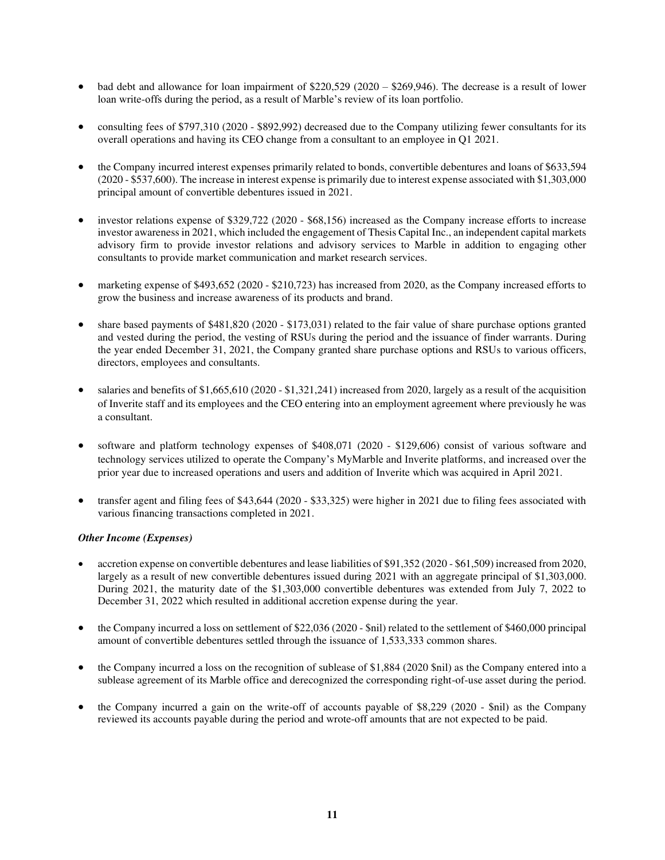- bad debt and allowance for loan impairment of  $$220,529 (2020 $269,946)$ . The decrease is a result of lower loan write-offs during the period, as a result of Marble's review of its loan portfolio.
- consulting fees of \$797,310 (2020 \$892,992) decreased due to the Company utilizing fewer consultants for its overall operations and having its CEO change from a consultant to an employee in Q1 2021.
- the Company incurred interest expenses primarily related to bonds, convertible debentures and loans of \$633,594 (2020 - \$537,600). The increase in interest expense is primarily due to interest expense associated with \$1,303,000 principal amount of convertible debentures issued in 2021.
- investor relations expense of \$329,722 (2020 \$68,156) increased as the Company increase efforts to increase investor awareness in 2021, which included the engagement of Thesis Capital Inc., an independent capital markets advisory firm to provide investor relations and advisory services to Marble in addition to engaging other consultants to provide market communication and market research services.
- marketing expense of \$493,652 (2020 \$210,723) has increased from 2020, as the Company increased efforts to grow the business and increase awareness of its products and brand.
- share based payments of \$481,820 (2020 \$173,031) related to the fair value of share purchase options granted and vested during the period, the vesting of RSUs during the period and the issuance of finder warrants. During the year ended December 31, 2021, the Company granted share purchase options and RSUs to various officers, directors, employees and consultants.
- salaries and benefits of \$1,665,610 (2020 \$1,321,241) increased from 2020, largely as a result of the acquisition of Inverite staff and its employees and the CEO entering into an employment agreement where previously he was a consultant.
- software and platform technology expenses of \$408,071 (2020 \$129,606) consist of various software and technology services utilized to operate the Company's MyMarble and Inverite platforms, and increased over the prior year due to increased operations and users and addition of Inverite which was acquired in April 2021.
- transfer agent and filing fees of \$43,644 (2020 \$33,325) were higher in 2021 due to filing fees associated with various financing transactions completed in 2021.

# *Other Income (Expenses)*

- accretion expense on convertible debentures and lease liabilities of \$91,352 (2020 \$61,509) increased from 2020, largely as a result of new convertible debentures issued during 2021 with an aggregate principal of \$1,303,000. During 2021, the maturity date of the \$1,303,000 convertible debentures was extended from July 7, 2022 to December 31, 2022 which resulted in additional accretion expense during the year.
- the Company incurred a loss on settlement of \$22,036 (2020 \$nil) related to the settlement of \$460,000 principal amount of convertible debentures settled through the issuance of 1,533,333 common shares.
- the Company incurred a loss on the recognition of sublease of \$1,884 (2020 \$nil) as the Company entered into a sublease agreement of its Marble office and derecognized the corresponding right-of-use asset during the period.
- the Company incurred a gain on the write-off of accounts payable of \$8,229 (2020 \$nil) as the Company reviewed its accounts payable during the period and wrote-off amounts that are not expected to be paid.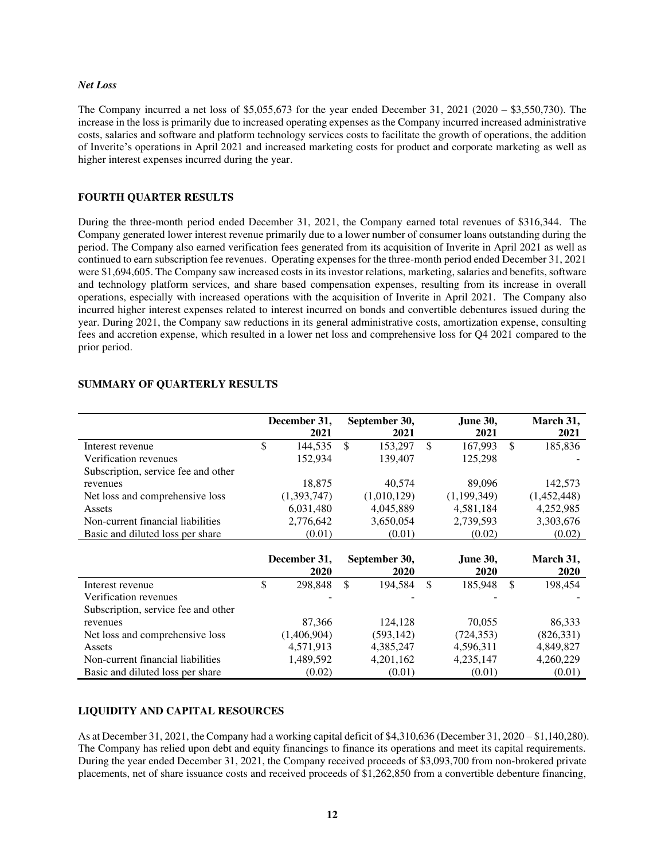#### *Net Loss*

The Company incurred a net loss of  $$5,055,673$  for the year ended December 31, 2021 (2020 –  $$3,550,730$ ). The increase in the loss is primarily due to increased operating expenses as the Company incurred increased administrative costs, salaries and software and platform technology services costs to facilitate the growth of operations, the addition of Inverite's operations in April 2021 and increased marketing costs for product and corporate marketing as well as higher interest expenses incurred during the year.

## **FOURTH QUARTER RESULTS**

During the three-month period ended December 31, 2021, the Company earned total revenues of \$316,344. The Company generated lower interest revenue primarily due to a lower number of consumer loans outstanding during the period. The Company also earned verification fees generated from its acquisition of Inverite in April 2021 as well as continued to earn subscription fee revenues. Operating expenses for the three-month period ended December 31, 2021 were \$1,694,605. The Company saw increased costs in its investor relations, marketing, salaries and benefits, software and technology platform services, and share based compensation expenses, resulting from its increase in overall operations, especially with increased operations with the acquisition of Inverite in April 2021. The Company also incurred higher interest expenses related to interest incurred on bonds and convertible debentures issued during the year. During 2021, the Company saw reductions in its general administrative costs, amortization expense, consulting fees and accretion expense, which resulted in a lower net loss and comprehensive loss for Q4 2021 compared to the prior period.

|                                     | December 31,<br>September 30, |              | June 30,      |    | March 31,       |               |             |
|-------------------------------------|-------------------------------|--------------|---------------|----|-----------------|---------------|-------------|
|                                     |                               | 2021         | 2021          |    | 2021            |               | 2021        |
| Interest revenue                    | \$                            | 144,535      | \$<br>153,297 | \$ | 167,993         | <sup>\$</sup> | 185,836     |
| Verification revenues               |                               | 152,934      | 139,407       |    | 125,298         |               |             |
| Subscription, service fee and other |                               |              |               |    |                 |               |             |
| revenues                            |                               | 18,875       | 40,574        |    | 89,096          |               | 142,573     |
| Net loss and comprehensive loss     |                               | (1,393,747)  | (1,010,129)   |    | (1,199,349)     |               | (1,452,448) |
| Assets                              |                               | 6,031,480    | 4,045,889     |    | 4,581,184       |               | 4,252,985   |
| Non-current financial liabilities   |                               | 2,776,642    | 3,650,054     |    | 2,739,593       |               | 3,303,676   |
| Basic and diluted loss per share    |                               | (0.01)       | (0.01)        |    | (0.02)          |               | (0.02)      |
|                                     |                               |              |               |    |                 |               |             |
|                                     |                               | December 31, | September 30, |    | <b>June 30,</b> |               | March 31,   |
|                                     |                               | 2020         | <b>2020</b>   |    | 2020            |               | <b>2020</b> |
| Interest revenue                    | \$                            | 298,848      | \$<br>194,584 | \$ | 185.948         | <sup>\$</sup> | 198,454     |
| Verification revenues               |                               |              |               |    |                 |               |             |
| Subscription, service fee and other |                               |              |               |    |                 |               |             |
| revenues                            |                               | 87,366       | 124,128       |    | 70,055          |               | 86,333      |
| Net loss and comprehensive loss     |                               | (1,406,904)  | (593, 142)    |    | (724, 353)      |               | (826, 331)  |
| Assets                              |                               | 4,571,913    | 4,385,247     |    | 4,596,311       |               | 4,849,827   |
| Non-current financial liabilities   |                               | 1,489,592    | 4,201,162     |    | 4,235,147       |               | 4,260,229   |
| Basic and diluted loss per share    |                               | (0.02)       | (0.01)        |    | (0.01)          |               | (0.01)      |

# **SUMMARY OF QUARTERLY RESULTS**

# **LIQUIDITY AND CAPITAL RESOURCES**

As at December 31, 2021, the Company had a working capital deficit of \$4,310,636 (December 31, 2020 – \$1,140,280). The Company has relied upon debt and equity financings to finance its operations and meet its capital requirements. During the year ended December 31, 2021, the Company received proceeds of \$3,093,700 from non-brokered private placements, net of share issuance costs and received proceeds of \$1,262,850 from a convertible debenture financing,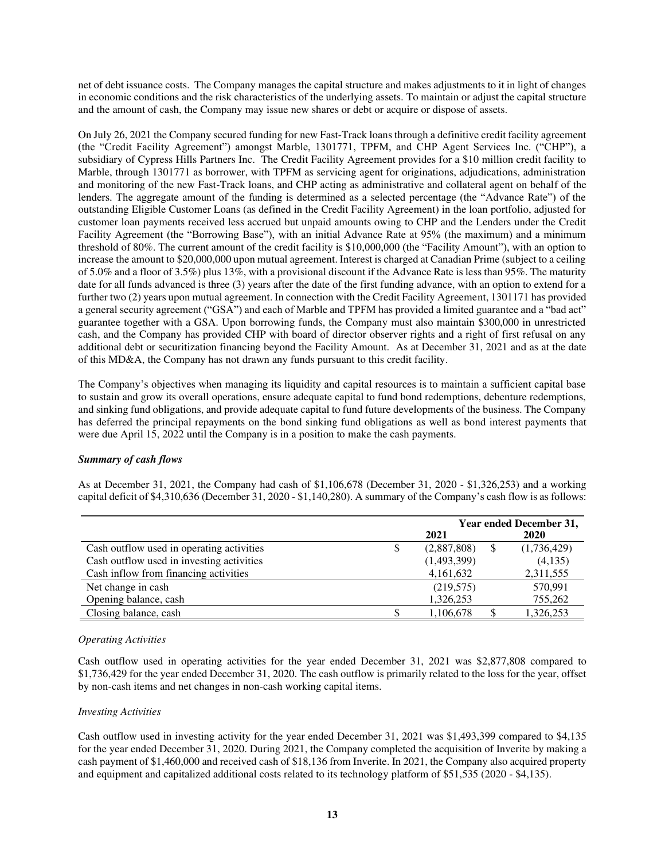net of debt issuance costs. The Company manages the capital structure and makes adjustments to it in light of changes in economic conditions and the risk characteristics of the underlying assets. To maintain or adjust the capital structure and the amount of cash, the Company may issue new shares or debt or acquire or dispose of assets.

On July 26, 2021 the Company secured funding for new Fast-Track loans through a definitive credit facility agreement (the "Credit Facility Agreement") amongst Marble, 1301771, TPFM, and CHP Agent Services Inc. ("CHP"), a subsidiary of Cypress Hills Partners Inc. The Credit Facility Agreement provides for a \$10 million credit facility to Marble, through 1301771 as borrower, with TPFM as servicing agent for originations, adjudications, administration and monitoring of the new Fast-Track loans, and CHP acting as administrative and collateral agent on behalf of the lenders. The aggregate amount of the funding is determined as a selected percentage (the "Advance Rate") of the outstanding Eligible Customer Loans (as defined in the Credit Facility Agreement) in the loan portfolio, adjusted for customer loan payments received less accrued but unpaid amounts owing to CHP and the Lenders under the Credit Facility Agreement (the "Borrowing Base"), with an initial Advance Rate at 95% (the maximum) and a minimum threshold of 80%. The current amount of the credit facility is \$10,000,000 (the "Facility Amount"), with an option to increase the amount to \$20,000,000 upon mutual agreement. Interest is charged at Canadian Prime (subject to a ceiling of 5.0% and a floor of 3.5%) plus 13%, with a provisional discount if the Advance Rate is less than 95%. The maturity date for all funds advanced is three (3) years after the date of the first funding advance, with an option to extend for a further two (2) years upon mutual agreement. In connection with the Credit Facility Agreement, 1301171 has provided a general security agreement ("GSA") and each of Marble and TPFM has provided a limited guarantee and a "bad act" guarantee together with a GSA. Upon borrowing funds, the Company must also maintain \$300,000 in unrestricted cash, and the Company has provided CHP with board of director observer rights and a right of first refusal on any additional debt or securitization financing beyond the Facility Amount. As at December 31, 2021 and as at the date of this MD&A, the Company has not drawn any funds pursuant to this credit facility.

The Company's objectives when managing its liquidity and capital resources is to maintain a sufficient capital base to sustain and grow its overall operations, ensure adequate capital to fund bond redemptions, debenture redemptions, and sinking fund obligations, and provide adequate capital to fund future developments of the business. The Company has deferred the principal repayments on the bond sinking fund obligations as well as bond interest payments that were due April 15, 2022 until the Company is in a position to make the cash payments.

# *Summary of cash flows*

As at December 31, 2021, the Company had cash of \$1,106,678 (December 31, 2020 - \$1,326,253) and a working capital deficit of \$4,310,636 (December 31, 2020 - \$1,140,280). A summary of the Company's cash flow is as follows:

|                                           | Year ended December 31, |  |             |  |  |
|-------------------------------------------|-------------------------|--|-------------|--|--|
|                                           | 2021                    |  | <b>2020</b> |  |  |
| Cash outflow used in operating activities | (2,887,808)             |  | (1,736,429) |  |  |
| Cash outflow used in investing activities | (1,493,399)             |  | (4,135)     |  |  |
| Cash inflow from financing activities     | 4,161,632               |  | 2,311,555   |  |  |
| Net change in cash                        | (219, 575)              |  | 570,991     |  |  |
| Opening balance, cash                     | 1,326,253               |  | 755,262     |  |  |
| Closing balance, cash                     | 1,106,678               |  | 1,326,253   |  |  |

## *Operating Activities*

Cash outflow used in operating activities for the year ended December 31, 2021 was \$2,877,808 compared to \$1,736,429 for the year ended December 31, 2020. The cash outflow is primarily related to the loss for the year, offset by non-cash items and net changes in non-cash working capital items.

## *Investing Activities*

Cash outflow used in investing activity for the year ended December 31, 2021 was \$1,493,399 compared to \$4,135 for the year ended December 31, 2020. During 2021, the Company completed the acquisition of Inverite by making a cash payment of \$1,460,000 and received cash of \$18,136 from Inverite. In 2021, the Company also acquired property and equipment and capitalized additional costs related to its technology platform of \$51,535 (2020 - \$4,135).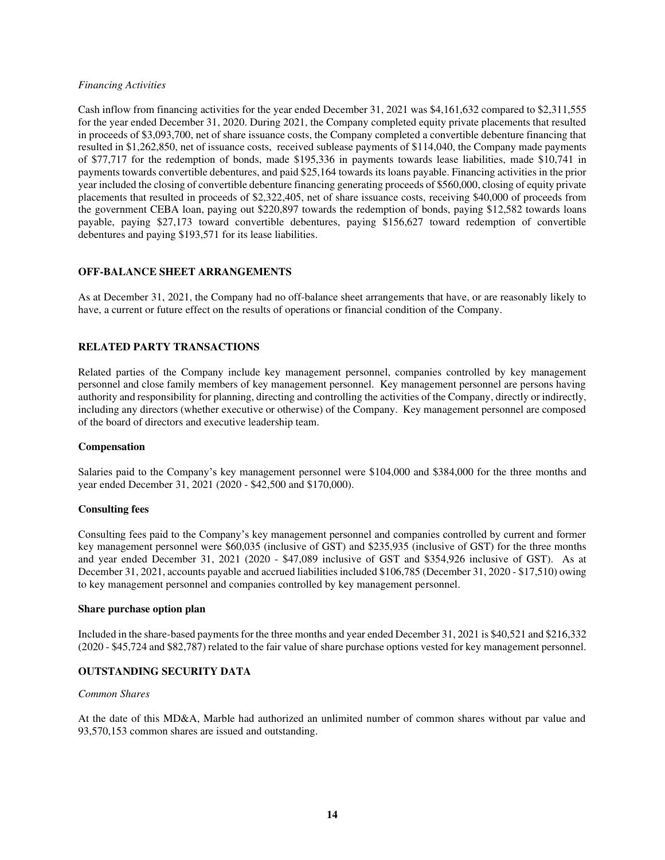## *Financing Activities*

Cash inflow from financing activities for the year ended December 31, 2021 was \$4,161,632 compared to \$2,311,555 for the year ended December 31, 2020. During 2021, the Company completed equity private placements that resulted in proceeds of \$3,093,700, net of share issuance costs, the Company completed a convertible debenture financing that resulted in \$1,262,850, net of issuance costs, received sublease payments of \$114,040, the Company made payments of \$77,717 for the redemption of bonds, made \$195,336 in payments towards lease liabilities, made \$10,741 in payments towards convertible debentures, and paid \$25,164 towards its loans payable. Financing activities in the prior year included the closing of convertible debenture financing generating proceeds of \$560,000, closing of equity private placements that resulted in proceeds of \$2,322,405, net of share issuance costs, receiving \$40,000 of proceeds from the government CEBA loan, paying out \$220,897 towards the redemption of bonds, paying \$12,582 towards loans payable, paying \$27,173 toward convertible debentures, paying \$156,627 toward redemption of convertible debentures and paying \$193,571 for its lease liabilities.

## **OFF-BALANCE SHEET ARRANGEMENTS**

As at December 31, 2021, the Company had no off-balance sheet arrangements that have, or are reasonably likely to have, a current or future effect on the results of operations or financial condition of the Company.

## **RELATED PARTY TRANSACTIONS**

Related parties of the Company include key management personnel, companies controlled by key management personnel and close family members of key management personnel. Key management personnel are persons having authority and responsibility for planning, directing and controlling the activities of the Company, directly or indirectly, including any directors (whether executive or otherwise) of the Company. Key management personnel are composed of the board of directors and executive leadership team.

## **Compensation**

Salaries paid to the Company's key management personnel were \$104,000 and \$384,000 for the three months and year ended December 31, 2021 (2020 - \$42,500 and \$170,000).

## **Consulting fees**

Consulting fees paid to the Company's key management personnel and companies controlled by current and former key management personnel were \$60,035 (inclusive of GST) and \$235,935 (inclusive of GST) for the three months and year ended December 31, 2021 (2020 - \$47,089 inclusive of GST and \$354,926 inclusive of GST). As at December 31, 2021, accounts payable and accrued liabilities included \$106,785 (December 31, 2020 - \$17,510) owing to key management personnel and companies controlled by key management personnel.

## **Share purchase option plan**

Included in the share-based payments for the three months and year ended December 31, 2021 is \$40,521 and \$216,332 (2020 - \$45,724 and \$82,787) related to the fair value of share purchase options vested for key management personnel.

## **OUTSTANDING SECURITY DATA**

#### *Common Shares*

At the date of this MD&A, Marble had authorized an unlimited number of common shares without par value and 93,570,153 common shares are issued and outstanding.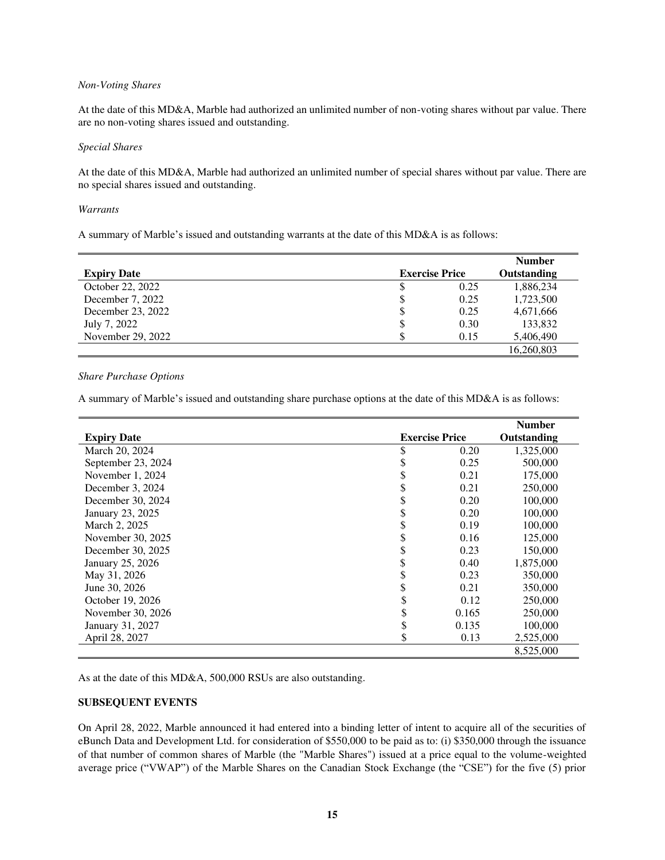#### *Non-Voting Shares*

At the date of this MD&A, Marble had authorized an unlimited number of non-voting shares without par value. There are no non-voting shares issued and outstanding.

#### *Special Shares*

At the date of this MD&A, Marble had authorized an unlimited number of special shares without par value. There are no special shares issued and outstanding.

#### *Warrants*

A summary of Marble's issued and outstanding warrants at the date of this MD&A is as follows:

| <b>Expiry Date</b> | <b>Exercise Price</b> |      | <b>Number</b><br>Outstanding |
|--------------------|-----------------------|------|------------------------------|
| October 22, 2022   | \$                    | 0.25 | 1,886,234                    |
| December 7, 2022   | \$                    | 0.25 | 1,723,500                    |
| December 23, 2022  | \$                    | 0.25 | 4,671,666                    |
| July 7, 2022       | \$                    | 0.30 | 133,832                      |
| November 29, 2022  |                       | 0.15 | 5,406,490                    |
|                    |                       |      | 16,260,803                   |

## *Share Purchase Options*

A summary of Marble's issued and outstanding share purchase options at the date of this MD&A is as follows:

|                    |                       | <b>Number</b> |  |
|--------------------|-----------------------|---------------|--|
| <b>Expiry Date</b> | <b>Exercise Price</b> | Outstanding   |  |
| March 20, 2024     | \$<br>0.20            | 1,325,000     |  |
| September 23, 2024 | \$<br>0.25            | 500,000       |  |
| November 1, 2024   | \$<br>0.21            | 175,000       |  |
| December 3, 2024   | \$<br>0.21            | 250,000       |  |
| December 30, 2024  | \$<br>0.20            | 100,000       |  |
| January 23, 2025   | \$<br>0.20            | 100,000       |  |
| March 2, 2025      | \$<br>0.19            | 100,000       |  |
| November 30, 2025  | \$<br>0.16            | 125,000       |  |
| December 30, 2025  | \$<br>0.23            | 150,000       |  |
| January 25, 2026   | \$<br>0.40            | 1,875,000     |  |
| May 31, 2026       | \$<br>0.23            | 350,000       |  |
| June 30, 2026      | \$<br>0.21            | 350,000       |  |
| October 19, 2026   | \$<br>0.12            | 250,000       |  |
| November 30, 2026  | \$<br>0.165           | 250,000       |  |
| January 31, 2027   | \$<br>0.135           | 100,000       |  |
| April 28, 2027     | \$<br>0.13            | 2,525,000     |  |
|                    |                       | 8,525,000     |  |

As at the date of this MD&A, 500,000 RSUs are also outstanding.

## **SUBSEQUENT EVENTS**

On April 28, 2022, Marble announced it had entered into a binding letter of intent to acquire all of the securities of eBunch Data and Development Ltd. for consideration of \$550,000 to be paid as to: (i) \$350,000 through the issuance of that number of common shares of Marble (the "Marble Shares") issued at a price equal to the volume-weighted average price ("VWAP") of the Marble Shares on the Canadian Stock Exchange (the "CSE") for the five (5) prior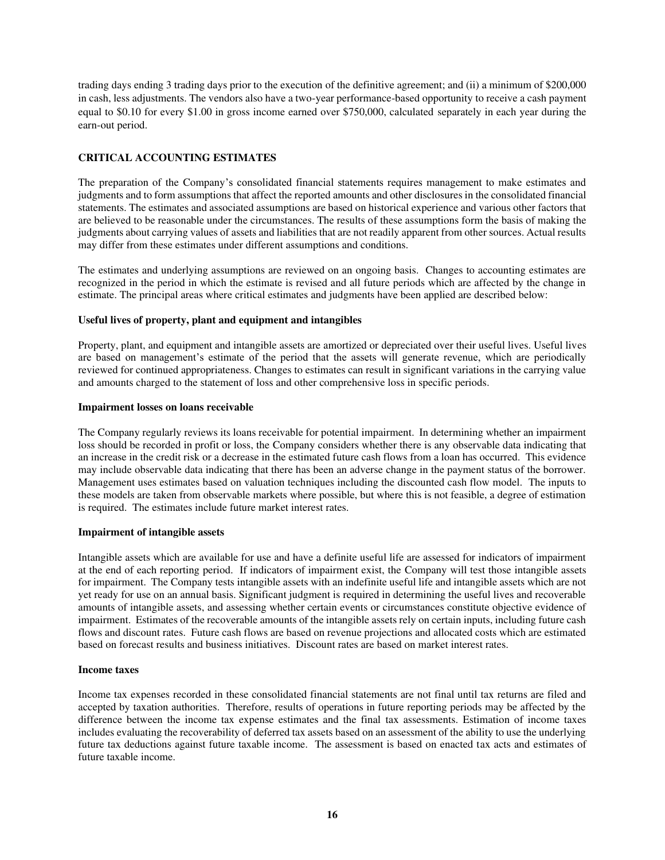trading days ending 3 trading days prior to the execution of the definitive agreement; and (ii) a minimum of \$200,000 in cash, less adjustments. The vendors also have a two-year performance-based opportunity to receive a cash payment equal to \$0.10 for every \$1.00 in gross income earned over \$750,000, calculated separately in each year during the earn-out period.

# **CRITICAL ACCOUNTING ESTIMATES**

The preparation of the Company's consolidated financial statements requires management to make estimates and judgments and to form assumptions that affect the reported amounts and other disclosures in the consolidated financial statements. The estimates and associated assumptions are based on historical experience and various other factors that are believed to be reasonable under the circumstances. The results of these assumptions form the basis of making the judgments about carrying values of assets and liabilities that are not readily apparent from other sources. Actual results may differ from these estimates under different assumptions and conditions.

The estimates and underlying assumptions are reviewed on an ongoing basis. Changes to accounting estimates are recognized in the period in which the estimate is revised and all future periods which are affected by the change in estimate. The principal areas where critical estimates and judgments have been applied are described below:

## **Useful lives of property, plant and equipment and intangibles**

Property, plant, and equipment and intangible assets are amortized or depreciated over their useful lives. Useful lives are based on management's estimate of the period that the assets will generate revenue, which are periodically reviewed for continued appropriateness. Changes to estimates can result in significant variations in the carrying value and amounts charged to the statement of loss and other comprehensive loss in specific periods.

## **Impairment losses on loans receivable**

The Company regularly reviews its loans receivable for potential impairment. In determining whether an impairment loss should be recorded in profit or loss, the Company considers whether there is any observable data indicating that an increase in the credit risk or a decrease in the estimated future cash flows from a loan has occurred. This evidence may include observable data indicating that there has been an adverse change in the payment status of the borrower. Management uses estimates based on valuation techniques including the discounted cash flow model. The inputs to these models are taken from observable markets where possible, but where this is not feasible, a degree of estimation is required. The estimates include future market interest rates.

## **Impairment of intangible assets**

Intangible assets which are available for use and have a definite useful life are assessed for indicators of impairment at the end of each reporting period. If indicators of impairment exist, the Company will test those intangible assets for impairment. The Company tests intangible assets with an indefinite useful life and intangible assets which are not yet ready for use on an annual basis. Significant judgment is required in determining the useful lives and recoverable amounts of intangible assets, and assessing whether certain events or circumstances constitute objective evidence of impairment. Estimates of the recoverable amounts of the intangible assets rely on certain inputs, including future cash flows and discount rates. Future cash flows are based on revenue projections and allocated costs which are estimated based on forecast results and business initiatives. Discount rates are based on market interest rates.

## **Income taxes**

Income tax expenses recorded in these consolidated financial statements are not final until tax returns are filed and accepted by taxation authorities. Therefore, results of operations in future reporting periods may be affected by the difference between the income tax expense estimates and the final tax assessments. Estimation of income taxes includes evaluating the recoverability of deferred tax assets based on an assessment of the ability to use the underlying future tax deductions against future taxable income. The assessment is based on enacted tax acts and estimates of future taxable income.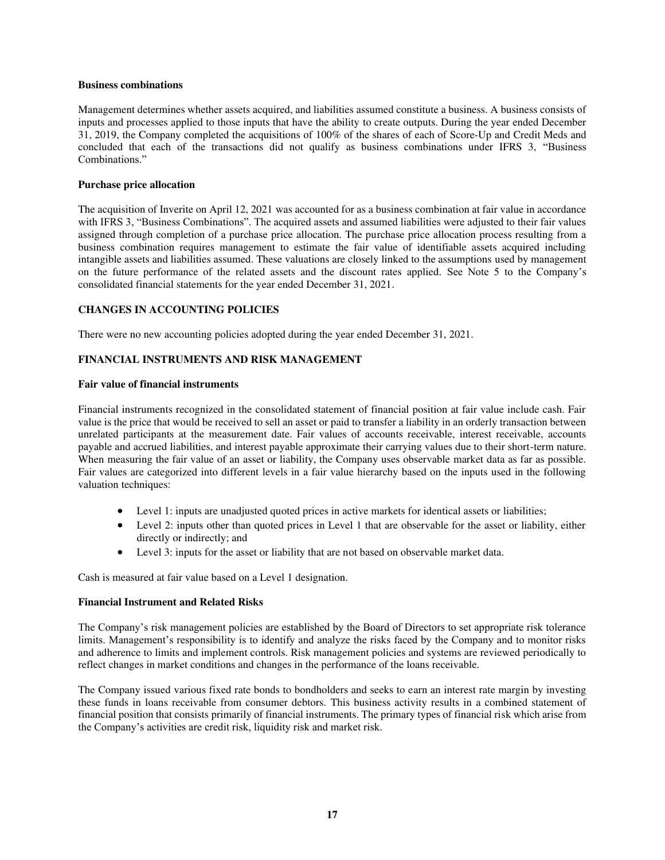#### **Business combinations**

Management determines whether assets acquired, and liabilities assumed constitute a business. A business consists of inputs and processes applied to those inputs that have the ability to create outputs. During the year ended December 31, 2019, the Company completed the acquisitions of 100% of the shares of each of Score-Up and Credit Meds and concluded that each of the transactions did not qualify as business combinations under IFRS 3, "Business Combinations."

## **Purchase price allocation**

The acquisition of Inverite on April 12, 2021 was accounted for as a business combination at fair value in accordance with IFRS 3, "Business Combinations". The acquired assets and assumed liabilities were adjusted to their fair values assigned through completion of a purchase price allocation. The purchase price allocation process resulting from a business combination requires management to estimate the fair value of identifiable assets acquired including intangible assets and liabilities assumed. These valuations are closely linked to the assumptions used by management on the future performance of the related assets and the discount rates applied. See Note 5 to the Company's consolidated financial statements for the year ended December 31, 2021.

## **CHANGES IN ACCOUNTING POLICIES**

There were no new accounting policies adopted during the year ended December 31, 2021.

## **FINANCIAL INSTRUMENTS AND RISK MANAGEMENT**

## **Fair value of financial instruments**

Financial instruments recognized in the consolidated statement of financial position at fair value include cash. Fair value is the price that would be received to sell an asset or paid to transfer a liability in an orderly transaction between unrelated participants at the measurement date. Fair values of accounts receivable, interest receivable, accounts payable and accrued liabilities, and interest payable approximate their carrying values due to their short-term nature. When measuring the fair value of an asset or liability, the Company uses observable market data as far as possible. Fair values are categorized into different levels in a fair value hierarchy based on the inputs used in the following valuation techniques:

- Level 1: inputs are unadjusted quoted prices in active markets for identical assets or liabilities;
- Level 2: inputs other than quoted prices in Level 1 that are observable for the asset or liability, either directly or indirectly; and
- Level 3: inputs for the asset or liability that are not based on observable market data.

Cash is measured at fair value based on a Level 1 designation.

## **Financial Instrument and Related Risks**

The Company's risk management policies are established by the Board of Directors to set appropriate risk tolerance limits. Management's responsibility is to identify and analyze the risks faced by the Company and to monitor risks and adherence to limits and implement controls. Risk management policies and systems are reviewed periodically to reflect changes in market conditions and changes in the performance of the loans receivable.

The Company issued various fixed rate bonds to bondholders and seeks to earn an interest rate margin by investing these funds in loans receivable from consumer debtors. This business activity results in a combined statement of financial position that consists primarily of financial instruments. The primary types of financial risk which arise from the Company's activities are credit risk, liquidity risk and market risk.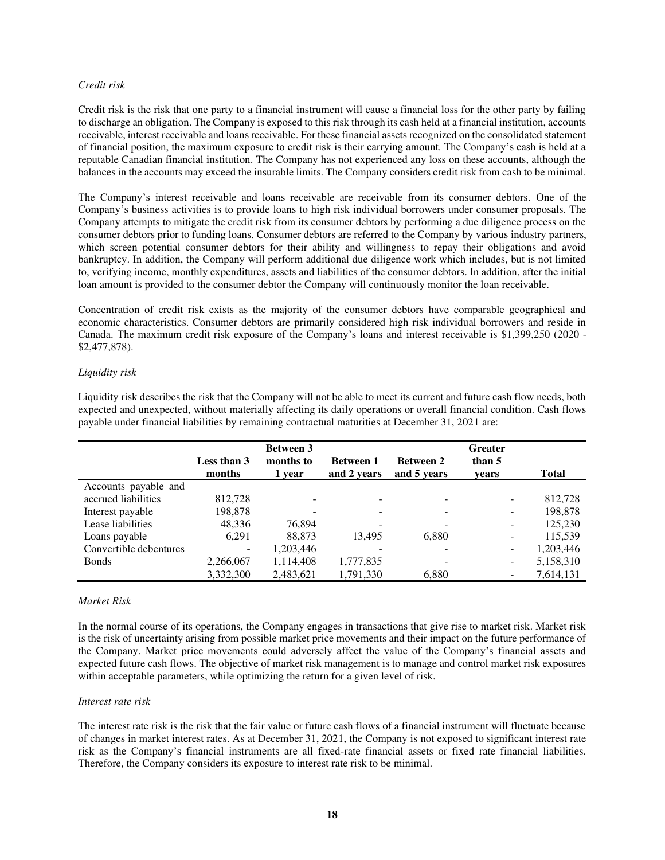## *Credit risk*

Credit risk is the risk that one party to a financial instrument will cause a financial loss for the other party by failing to discharge an obligation. The Company is exposed to this risk through its cash held at a financial institution, accounts receivable, interest receivable and loans receivable. For these financial assets recognized on the consolidated statement of financial position, the maximum exposure to credit risk is their carrying amount. The Company's cash is held at a reputable Canadian financial institution. The Company has not experienced any loss on these accounts, although the balances in the accounts may exceed the insurable limits. The Company considers credit risk from cash to be minimal.

The Company's interest receivable and loans receivable are receivable from its consumer debtors. One of the Company's business activities is to provide loans to high risk individual borrowers under consumer proposals. The Company attempts to mitigate the credit risk from its consumer debtors by performing a due diligence process on the consumer debtors prior to funding loans. Consumer debtors are referred to the Company by various industry partners, which screen potential consumer debtors for their ability and willingness to repay their obligations and avoid bankruptcy. In addition, the Company will perform additional due diligence work which includes, but is not limited to, verifying income, monthly expenditures, assets and liabilities of the consumer debtors. In addition, after the initial loan amount is provided to the consumer debtor the Company will continuously monitor the loan receivable.

Concentration of credit risk exists as the majority of the consumer debtors have comparable geographical and economic characteristics. Consumer debtors are primarily considered high risk individual borrowers and reside in Canada. The maximum credit risk exposure of the Company's loans and interest receivable is \$1,399,250 (2020 - \$2,477,878).

## *Liquidity risk*

|                        | <b>Between 3</b>      |                     |                                 | <b>Greater</b>                  |                 |              |  |
|------------------------|-----------------------|---------------------|---------------------------------|---------------------------------|-----------------|--------------|--|
|                        | Less than 3<br>months | months to<br>1 year | <b>Between 1</b><br>and 2 years | <b>Between 2</b><br>and 5 years | than 5<br>vears | <b>Total</b> |  |
| Accounts payable and   |                       |                     |                                 |                                 |                 |              |  |
| accrued liabilities    | 812,728               |                     | $\overline{\phantom{a}}$        |                                 |                 | 812,728      |  |
| Interest payable       | 198,878               |                     | $\overline{\phantom{a}}$        |                                 |                 | 198,878      |  |
| Lease liabilities      | 48.336                | 76.894              | -                               |                                 |                 | 125,230      |  |
| Loans payable          | 6.291                 | 88.873              | 13.495                          | 6.880                           |                 | 115,539      |  |
| Convertible debentures |                       | 1,203,446           |                                 |                                 |                 | 1,203,446    |  |
| <b>Bonds</b>           | 2,266,067             | 1,114,408           | 1,777,835                       |                                 | ۰.              | 5,158,310    |  |
|                        | 3.332.300             | 2.483.621           | 1.791.330                       | 6,880                           |                 | 7,614,131    |  |

Liquidity risk describes the risk that the Company will not be able to meet its current and future cash flow needs, both expected and unexpected, without materially affecting its daily operations or overall financial condition. Cash flows payable under financial liabilities by remaining contractual maturities at December 31, 2021 are:

## *Market Risk*

In the normal course of its operations, the Company engages in transactions that give rise to market risk. Market risk is the risk of uncertainty arising from possible market price movements and their impact on the future performance of the Company. Market price movements could adversely affect the value of the Company's financial assets and expected future cash flows. The objective of market risk management is to manage and control market risk exposures within acceptable parameters, while optimizing the return for a given level of risk.

## *Interest rate risk*

The interest rate risk is the risk that the fair value or future cash flows of a financial instrument will fluctuate because of changes in market interest rates. As at December 31, 2021, the Company is not exposed to significant interest rate risk as the Company's financial instruments are all fixed-rate financial assets or fixed rate financial liabilities. Therefore, the Company considers its exposure to interest rate risk to be minimal.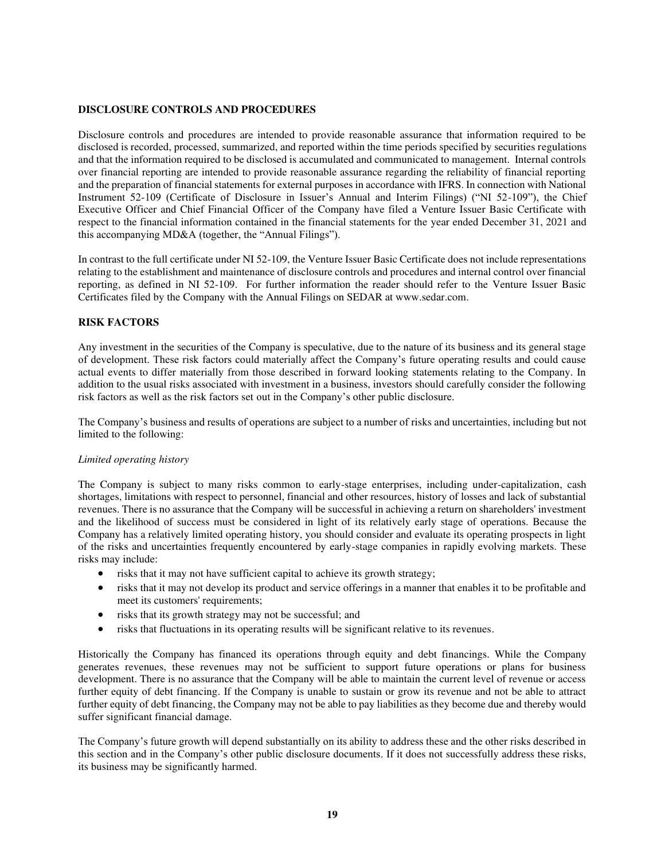## **DISCLOSURE CONTROLS AND PROCEDURES**

Disclosure controls and procedures are intended to provide reasonable assurance that information required to be disclosed is recorded, processed, summarized, and reported within the time periods specified by securities regulations and that the information required to be disclosed is accumulated and communicated to management. Internal controls over financial reporting are intended to provide reasonable assurance regarding the reliability of financial reporting and the preparation of financial statements for external purposes in accordance with IFRS. In connection with National Instrument 52-109 (Certificate of Disclosure in Issuer's Annual and Interim Filings) ("NI 52-109"), the Chief Executive Officer and Chief Financial Officer of the Company have filed a Venture Issuer Basic Certificate with respect to the financial information contained in the financial statements for the year ended December 31, 2021 and this accompanying MD&A (together, the "Annual Filings").

In contrast to the full certificate under NI 52-109, the Venture Issuer Basic Certificate does not include representations relating to the establishment and maintenance of disclosure controls and procedures and internal control over financial reporting, as defined in NI 52-109. For further information the reader should refer to the Venture Issuer Basic Certificates filed by the Company with the Annual Filings on SEDAR at www.sedar.com.

## **RISK FACTORS**

Any investment in the securities of the Company is speculative, due to the nature of its business and its general stage of development. These risk factors could materially affect the Company's future operating results and could cause actual events to differ materially from those described in forward looking statements relating to the Company. In addition to the usual risks associated with investment in a business, investors should carefully consider the following risk factors as well as the risk factors set out in the Company's other public disclosure.

The Company's business and results of operations are subject to a number of risks and uncertainties, including but not limited to the following:

## *Limited operating history*

The Company is subject to many risks common to early-stage enterprises, including under-capitalization, cash shortages, limitations with respect to personnel, financial and other resources, history of losses and lack of substantial revenues. There is no assurance that the Company will be successful in achieving a return on shareholders' investment and the likelihood of success must be considered in light of its relatively early stage of operations. Because the Company has a relatively limited operating history, you should consider and evaluate its operating prospects in light of the risks and uncertainties frequently encountered by early-stage companies in rapidly evolving markets. These risks may include:

- risks that it may not have sufficient capital to achieve its growth strategy;
- risks that it may not develop its product and service offerings in a manner that enables it to be profitable and meet its customers' requirements;
- risks that its growth strategy may not be successful; and
- risks that fluctuations in its operating results will be significant relative to its revenues.

Historically the Company has financed its operations through equity and debt financings. While the Company generates revenues, these revenues may not be sufficient to support future operations or plans for business development. There is no assurance that the Company will be able to maintain the current level of revenue or access further equity of debt financing. If the Company is unable to sustain or grow its revenue and not be able to attract further equity of debt financing, the Company may not be able to pay liabilities as they become due and thereby would suffer significant financial damage.

The Company's future growth will depend substantially on its ability to address these and the other risks described in this section and in the Company's other public disclosure documents. If it does not successfully address these risks, its business may be significantly harmed.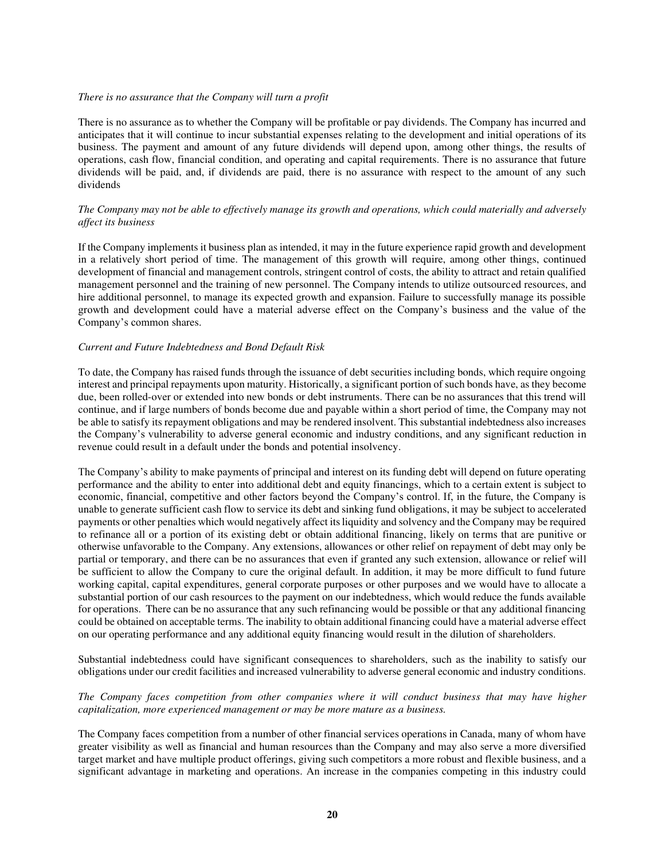#### *There is no assurance that the Company will turn a profit*

There is no assurance as to whether the Company will be profitable or pay dividends. The Company has incurred and anticipates that it will continue to incur substantial expenses relating to the development and initial operations of its business. The payment and amount of any future dividends will depend upon, among other things, the results of operations, cash flow, financial condition, and operating and capital requirements. There is no assurance that future dividends will be paid, and, if dividends are paid, there is no assurance with respect to the amount of any such dividends

## *The Company may not be able to effectively manage its growth and operations, which could materially and adversely affect its business*

If the Company implements it business plan as intended, it may in the future experience rapid growth and development in a relatively short period of time. The management of this growth will require, among other things, continued development of financial and management controls, stringent control of costs, the ability to attract and retain qualified management personnel and the training of new personnel. The Company intends to utilize outsourced resources, and hire additional personnel, to manage its expected growth and expansion. Failure to successfully manage its possible growth and development could have a material adverse effect on the Company's business and the value of the Company's common shares.

## *Current and Future Indebtedness and Bond Default Risk*

To date, the Company has raised funds through the issuance of debt securities including bonds, which require ongoing interest and principal repayments upon maturity. Historically, a significant portion of such bonds have, as they become due, been rolled-over or extended into new bonds or debt instruments. There can be no assurances that this trend will continue, and if large numbers of bonds become due and payable within a short period of time, the Company may not be able to satisfy its repayment obligations and may be rendered insolvent. This substantial indebtedness also increases the Company's vulnerability to adverse general economic and industry conditions, and any significant reduction in revenue could result in a default under the bonds and potential insolvency.

The Company's ability to make payments of principal and interest on its funding debt will depend on future operating performance and the ability to enter into additional debt and equity financings, which to a certain extent is subject to economic, financial, competitive and other factors beyond the Company's control. If, in the future, the Company is unable to generate sufficient cash flow to service its debt and sinking fund obligations, it may be subject to accelerated payments or other penalties which would negatively affect its liquidity and solvency and the Company may be required to refinance all or a portion of its existing debt or obtain additional financing, likely on terms that are punitive or otherwise unfavorable to the Company. Any extensions, allowances or other relief on repayment of debt may only be partial or temporary, and there can be no assurances that even if granted any such extension, allowance or relief will be sufficient to allow the Company to cure the original default. In addition, it may be more difficult to fund future working capital, capital expenditures, general corporate purposes or other purposes and we would have to allocate a substantial portion of our cash resources to the payment on our indebtedness, which would reduce the funds available for operations. There can be no assurance that any such refinancing would be possible or that any additional financing could be obtained on acceptable terms. The inability to obtain additional financing could have a material adverse effect on our operating performance and any additional equity financing would result in the dilution of shareholders.

Substantial indebtedness could have significant consequences to shareholders, such as the inability to satisfy our obligations under our credit facilities and increased vulnerability to adverse general economic and industry conditions.

## *The Company faces competition from other companies where it will conduct business that may have higher capitalization, more experienced management or may be more mature as a business.*

The Company faces competition from a number of other financial services operations in Canada, many of whom have greater visibility as well as financial and human resources than the Company and may also serve a more diversified target market and have multiple product offerings, giving such competitors a more robust and flexible business, and a significant advantage in marketing and operations. An increase in the companies competing in this industry could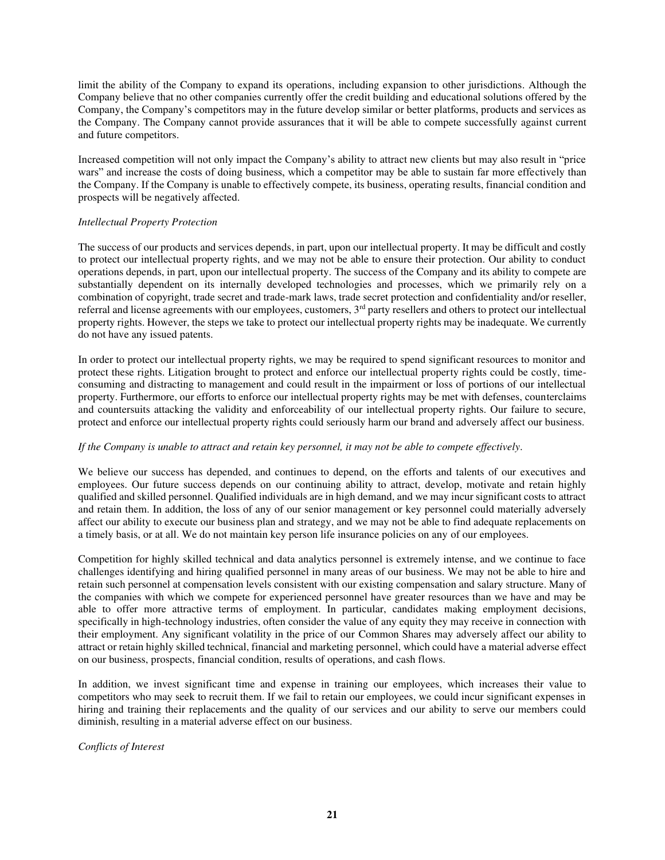limit the ability of the Company to expand its operations, including expansion to other jurisdictions. Although the Company believe that no other companies currently offer the credit building and educational solutions offered by the Company, the Company's competitors may in the future develop similar or better platforms, products and services as the Company. The Company cannot provide assurances that it will be able to compete successfully against current and future competitors.

Increased competition will not only impact the Company's ability to attract new clients but may also result in "price wars" and increase the costs of doing business, which a competitor may be able to sustain far more effectively than the Company. If the Company is unable to effectively compete, its business, operating results, financial condition and prospects will be negatively affected.

## *Intellectual Property Protection*

The success of our products and services depends, in part, upon our intellectual property. It may be difficult and costly to protect our intellectual property rights, and we may not be able to ensure their protection. Our ability to conduct operations depends, in part, upon our intellectual property. The success of the Company and its ability to compete are substantially dependent on its internally developed technologies and processes, which we primarily rely on a combination of copyright, trade secret and trade-mark laws, trade secret protection and confidentiality and/or reseller, referral and license agreements with our employees, customers, 3<sup>rd</sup> party resellers and others to protect our intellectual property rights. However, the steps we take to protect our intellectual property rights may be inadequate. We currently do not have any issued patents.

In order to protect our intellectual property rights, we may be required to spend significant resources to monitor and protect these rights. Litigation brought to protect and enforce our intellectual property rights could be costly, timeconsuming and distracting to management and could result in the impairment or loss of portions of our intellectual property. Furthermore, our efforts to enforce our intellectual property rights may be met with defenses, counterclaims and countersuits attacking the validity and enforceability of our intellectual property rights. Our failure to secure, protect and enforce our intellectual property rights could seriously harm our brand and adversely affect our business.

# *If the Company is unable to attract and retain key personnel, it may not be able to compete effectively.*

We believe our success has depended, and continues to depend, on the efforts and talents of our executives and employees. Our future success depends on our continuing ability to attract, develop, motivate and retain highly qualified and skilled personnel. Qualified individuals are in high demand, and we may incur significant costs to attract and retain them. In addition, the loss of any of our senior management or key personnel could materially adversely affect our ability to execute our business plan and strategy, and we may not be able to find adequate replacements on a timely basis, or at all. We do not maintain key person life insurance policies on any of our employees.

Competition for highly skilled technical and data analytics personnel is extremely intense, and we continue to face challenges identifying and hiring qualified personnel in many areas of our business. We may not be able to hire and retain such personnel at compensation levels consistent with our existing compensation and salary structure. Many of the companies with which we compete for experienced personnel have greater resources than we have and may be able to offer more attractive terms of employment. In particular, candidates making employment decisions, specifically in high-technology industries, often consider the value of any equity they may receive in connection with their employment. Any significant volatility in the price of our Common Shares may adversely affect our ability to attract or retain highly skilled technical, financial and marketing personnel, which could have a material adverse effect on our business, prospects, financial condition, results of operations, and cash flows.

In addition, we invest significant time and expense in training our employees, which increases their value to competitors who may seek to recruit them. If we fail to retain our employees, we could incur significant expenses in hiring and training their replacements and the quality of our services and our ability to serve our members could diminish, resulting in a material adverse effect on our business.

*Conflicts of Interest*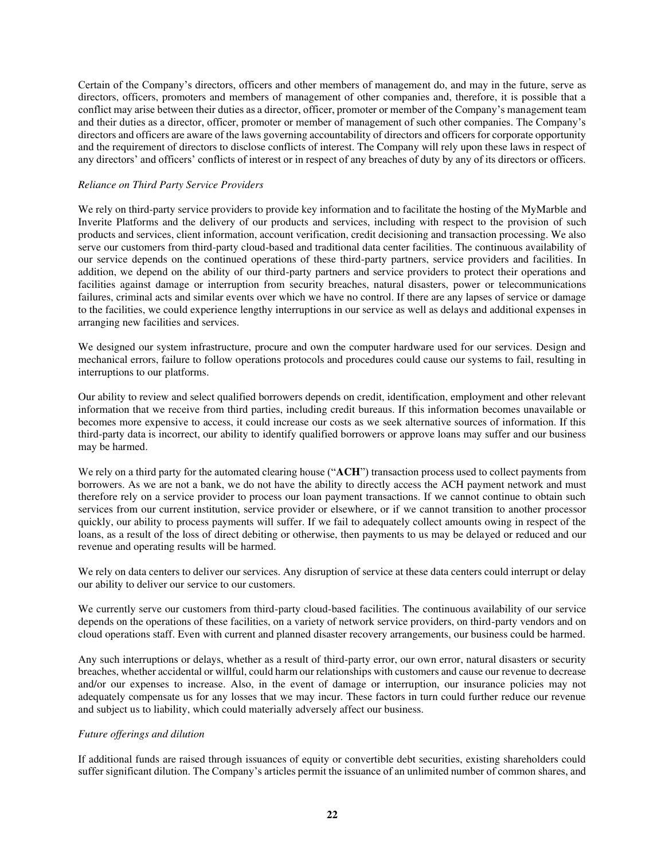Certain of the Company's directors, officers and other members of management do, and may in the future, serve as directors, officers, promoters and members of management of other companies and, therefore, it is possible that a conflict may arise between their duties as a director, officer, promoter or member of the Company's management team and their duties as a director, officer, promoter or member of management of such other companies. The Company's directors and officers are aware of the laws governing accountability of directors and officers for corporate opportunity and the requirement of directors to disclose conflicts of interest. The Company will rely upon these laws in respect of any directors' and officers' conflicts of interest or in respect of any breaches of duty by any of its directors or officers.

## *Reliance on Third Party Service Providers*

We rely on third-party service providers to provide key information and to facilitate the hosting of the MyMarble and Inverite Platforms and the delivery of our products and services, including with respect to the provision of such products and services, client information, account verification, credit decisioning and transaction processing. We also serve our customers from third-party cloud-based and traditional data center facilities. The continuous availability of our service depends on the continued operations of these third-party partners, service providers and facilities. In addition, we depend on the ability of our third-party partners and service providers to protect their operations and facilities against damage or interruption from security breaches, natural disasters, power or telecommunications failures, criminal acts and similar events over which we have no control. If there are any lapses of service or damage to the facilities, we could experience lengthy interruptions in our service as well as delays and additional expenses in arranging new facilities and services.

We designed our system infrastructure, procure and own the computer hardware used for our services. Design and mechanical errors, failure to follow operations protocols and procedures could cause our systems to fail, resulting in interruptions to our platforms.

Our ability to review and select qualified borrowers depends on credit, identification, employment and other relevant information that we receive from third parties, including credit bureaus. If this information becomes unavailable or becomes more expensive to access, it could increase our costs as we seek alternative sources of information. If this third-party data is incorrect, our ability to identify qualified borrowers or approve loans may suffer and our business may be harmed.

We rely on a third party for the automated clearing house ("ACH") transaction process used to collect payments from borrowers. As we are not a bank, we do not have the ability to directly access the ACH payment network and must therefore rely on a service provider to process our loan payment transactions. If we cannot continue to obtain such services from our current institution, service provider or elsewhere, or if we cannot transition to another processor quickly, our ability to process payments will suffer. If we fail to adequately collect amounts owing in respect of the loans, as a result of the loss of direct debiting or otherwise, then payments to us may be delayed or reduced and our revenue and operating results will be harmed.

We rely on data centers to deliver our services. Any disruption of service at these data centers could interrupt or delay our ability to deliver our service to our customers.

We currently serve our customers from third-party cloud-based facilities. The continuous availability of our service depends on the operations of these facilities, on a variety of network service providers, on third-party vendors and on cloud operations staff. Even with current and planned disaster recovery arrangements, our business could be harmed.

Any such interruptions or delays, whether as a result of third-party error, our own error, natural disasters or security breaches, whether accidental or willful, could harm our relationships with customers and cause our revenue to decrease and/or our expenses to increase. Also, in the event of damage or interruption, our insurance policies may not adequately compensate us for any losses that we may incur. These factors in turn could further reduce our revenue and subject us to liability, which could materially adversely affect our business.

## *Future offerings and dilution*

If additional funds are raised through issuances of equity or convertible debt securities, existing shareholders could suffer significant dilution. The Company's articles permit the issuance of an unlimited number of common shares, and